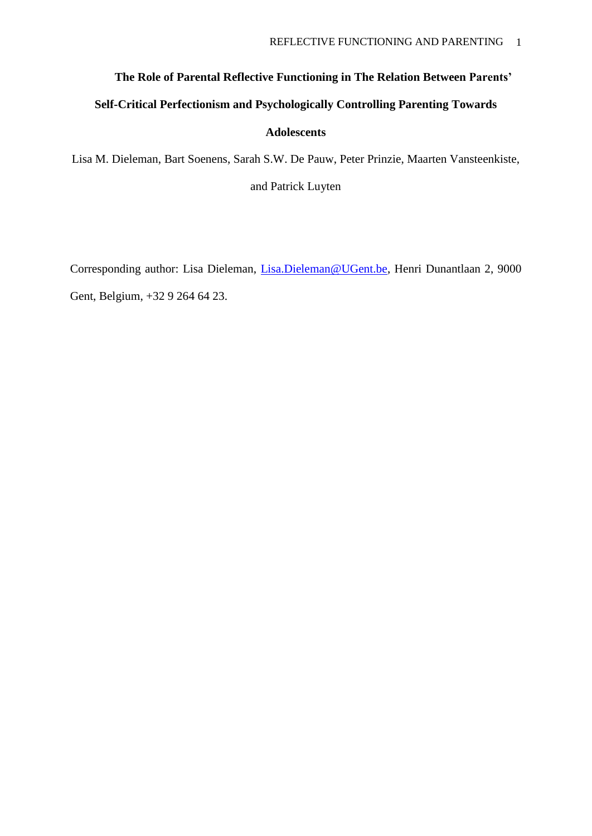# **The Role of Parental Reflective Functioning in The Relation Between Parents'**

# **Self-Critical Perfectionism and Psychologically Controlling Parenting Towards**

## **Adolescents**

Lisa M. Dieleman, Bart Soenens, Sarah S.W. De Pauw, Peter Prinzie, Maarten Vansteenkiste, and Patrick Luyten

Corresponding author: Lisa Dieleman, [Lisa.Dieleman@UGent.be,](mailto:Lisa.Dieleman@UGent.be) Henri Dunantlaan 2, 9000 Gent, Belgium, +32 9 264 64 23.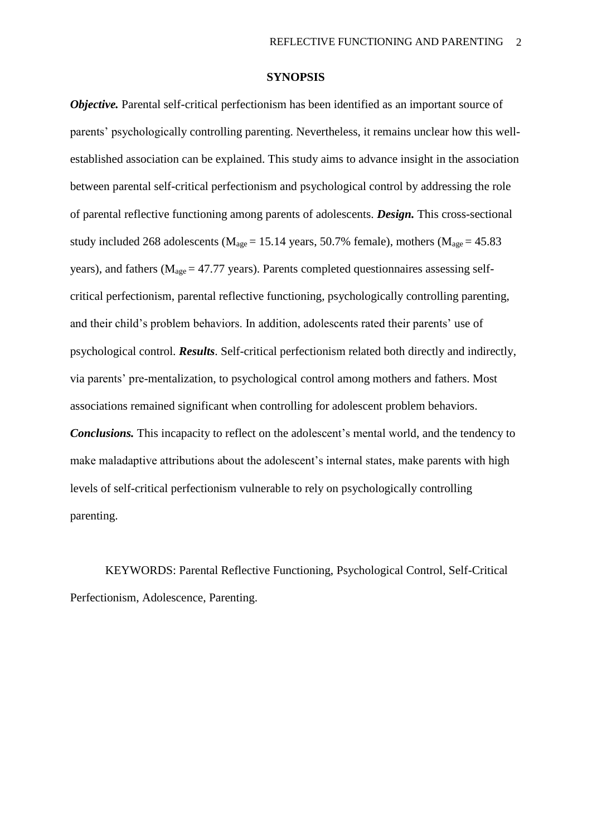#### **SYNOPSIS**

*Objective*. Parental self-critical perfectionism has been identified as an important source of parents' psychologically controlling parenting. Nevertheless, it remains unclear how this wellestablished association can be explained. This study aims to advance insight in the association between parental self-critical perfectionism and psychological control by addressing the role of parental reflective functioning among parents of adolescents. *Design.* This cross-sectional study included 268 adolescents ( $M_{\text{age}} = 15.14$  years, 50.7% female), mothers ( $M_{\text{age}} = 45.83$ years), and fathers ( $M_{\text{age}} = 47.77$  years). Parents completed questionnaires assessing selfcritical perfectionism, parental reflective functioning, psychologically controlling parenting, and their child's problem behaviors. In addition, adolescents rated their parents' use of psychological control. *Results*. Self-critical perfectionism related both directly and indirectly, via parents' pre-mentalization, to psychological control among mothers and fathers. Most associations remained significant when controlling for adolescent problem behaviors. *Conclusions.* This incapacity to reflect on the adolescent's mental world, and the tendency to make maladaptive attributions about the adolescent's internal states, make parents with high levels of self-critical perfectionism vulnerable to rely on psychologically controlling parenting.

KEYWORDS: Parental Reflective Functioning, Psychological Control, Self-Critical Perfectionism, Adolescence, Parenting.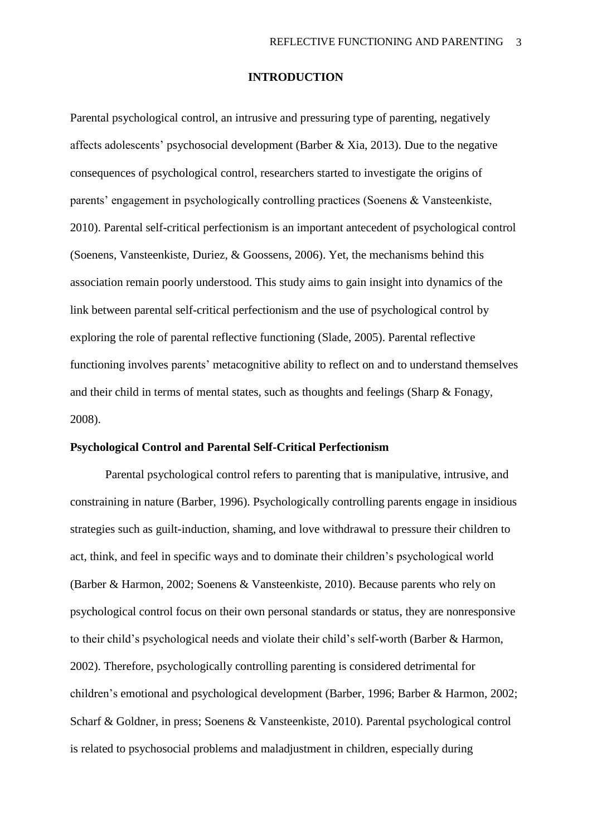### **INTRODUCTION**

Parental psychological control, an intrusive and pressuring type of parenting, negatively affects adolescents' psychosocial development (Barber & Xia, 2013). Due to the negative consequences of psychological control, researchers started to investigate the origins of parents' engagement in psychologically controlling practices (Soenens & Vansteenkiste, 2010). Parental self-critical perfectionism is an important antecedent of psychological control (Soenens, Vansteenkiste, Duriez, & Goossens, 2006). Yet, the mechanisms behind this association remain poorly understood. This study aims to gain insight into dynamics of the link between parental self-critical perfectionism and the use of psychological control by exploring the role of parental reflective functioning (Slade, 2005). Parental reflective functioning involves parents' metacognitive ability to reflect on and to understand themselves and their child in terms of mental states, such as thoughts and feelings (Sharp & Fonagy, 2008).

## **Psychological Control and Parental Self-Critical Perfectionism**

Parental psychological control refers to parenting that is manipulative, intrusive, and constraining in nature (Barber, 1996). Psychologically controlling parents engage in insidious strategies such as guilt-induction, shaming, and love withdrawal to pressure their children to act, think, and feel in specific ways and to dominate their children's psychological world (Barber & Harmon, 2002; Soenens & Vansteenkiste, 2010). Because parents who rely on psychological control focus on their own personal standards or status, they are nonresponsive to their child's psychological needs and violate their child's self-worth (Barber & Harmon, 2002). Therefore, psychologically controlling parenting is considered detrimental for children's emotional and psychological development (Barber, 1996; Barber & Harmon, 2002; Scharf & Goldner, in press; Soenens & Vansteenkiste, 2010). Parental psychological control is related to psychosocial problems and maladjustment in children, especially during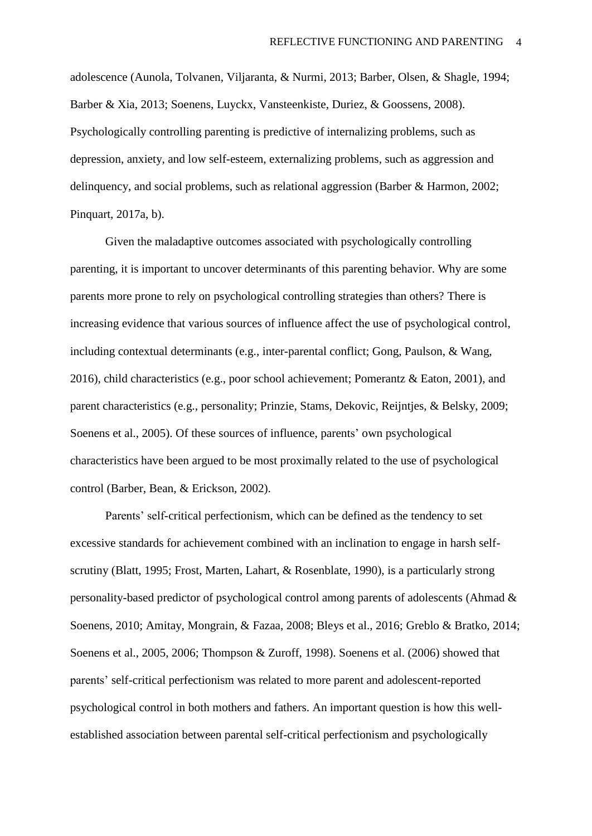adolescence (Aunola, Tolvanen, Viljaranta, & Nurmi, 2013; Barber, Olsen, & Shagle, 1994; Barber & Xia, 2013; Soenens, Luyckx, Vansteenkiste, Duriez, & Goossens, 2008). Psychologically controlling parenting is predictive of internalizing problems, such as depression, anxiety, and low self-esteem, externalizing problems, such as aggression and delinquency, and social problems, such as relational aggression (Barber & Harmon, 2002; Pinquart, 2017a, b).

Given the maladaptive outcomes associated with psychologically controlling parenting, it is important to uncover determinants of this parenting behavior. Why are some parents more prone to rely on psychological controlling strategies than others? There is increasing evidence that various sources of influence affect the use of psychological control, including contextual determinants (e.g., inter-parental conflict; Gong, Paulson, & Wang, 2016), child characteristics (e.g., poor school achievement; Pomerantz & Eaton, 2001), and parent characteristics (e.g., personality; Prinzie, Stams, Dekovic, Reijntjes, & Belsky, 2009; Soenens et al., 2005). Of these sources of influence, parents' own psychological characteristics have been argued to be most proximally related to the use of psychological control (Barber, Bean, & Erickson, 2002).

Parents' self-critical perfectionism, which can be defined as the tendency to set excessive standards for achievement combined with an inclination to engage in harsh selfscrutiny (Blatt, 1995; Frost, Marten, Lahart, & Rosenblate, 1990), is a particularly strong personality-based predictor of psychological control among parents of adolescents (Ahmad & Soenens, 2010; Amitay, Mongrain, & Fazaa, 2008; Bleys et al., 2016; Greblo & Bratko, 2014; Soenens et al., 2005, 2006; Thompson & Zuroff, 1998). Soenens et al. (2006) showed that parents' self-critical perfectionism was related to more parent and adolescent-reported psychological control in both mothers and fathers. An important question is how this wellestablished association between parental self-critical perfectionism and psychologically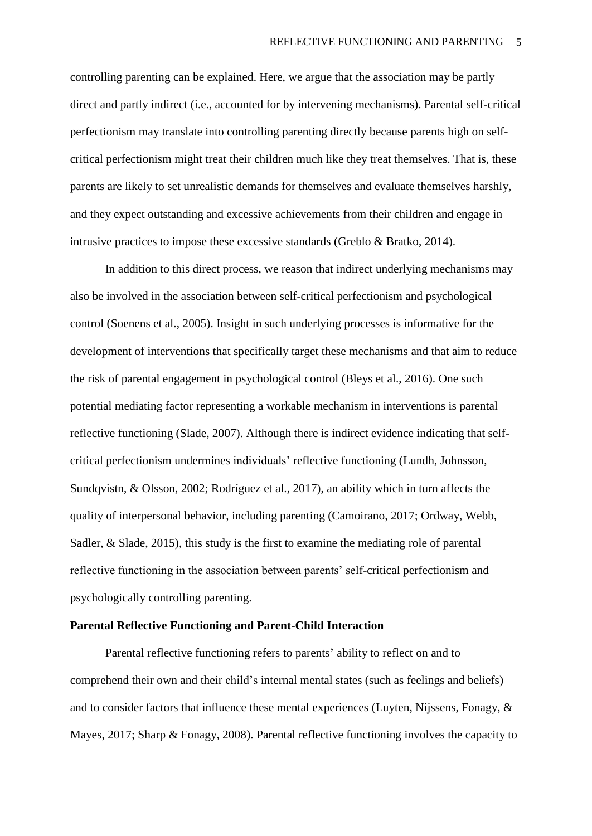controlling parenting can be explained. Here, we argue that the association may be partly direct and partly indirect (i.e., accounted for by intervening mechanisms). Parental self-critical perfectionism may translate into controlling parenting directly because parents high on selfcritical perfectionism might treat their children much like they treat themselves. That is, these parents are likely to set unrealistic demands for themselves and evaluate themselves harshly, and they expect outstanding and excessive achievements from their children and engage in intrusive practices to impose these excessive standards (Greblo & Bratko, 2014).

In addition to this direct process, we reason that indirect underlying mechanisms may also be involved in the association between self-critical perfectionism and psychological control (Soenens et al., 2005). Insight in such underlying processes is informative for the development of interventions that specifically target these mechanisms and that aim to reduce the risk of parental engagement in psychological control (Bleys et al., 2016). One such potential mediating factor representing a workable mechanism in interventions is parental reflective functioning (Slade, 2007). Although there is indirect evidence indicating that selfcritical perfectionism undermines individuals' reflective functioning (Lundh, Johnsson, Sundqvistn, & Olsson, 2002; Rodríguez et al., 2017), an ability which in turn affects the quality of interpersonal behavior, including parenting (Camoirano, 2017; Ordway, Webb, Sadler, & Slade, 2015), this study is the first to examine the mediating role of parental reflective functioning in the association between parents' self-critical perfectionism and psychologically controlling parenting.

## **Parental Reflective Functioning and Parent-Child Interaction**

Parental reflective functioning refers to parents' ability to reflect on and to comprehend their own and their child's internal mental states (such as feelings and beliefs) and to consider factors that influence these mental experiences (Luyten, Nijssens, Fonagy, & Mayes, 2017; Sharp & Fonagy, 2008). Parental reflective functioning involves the capacity to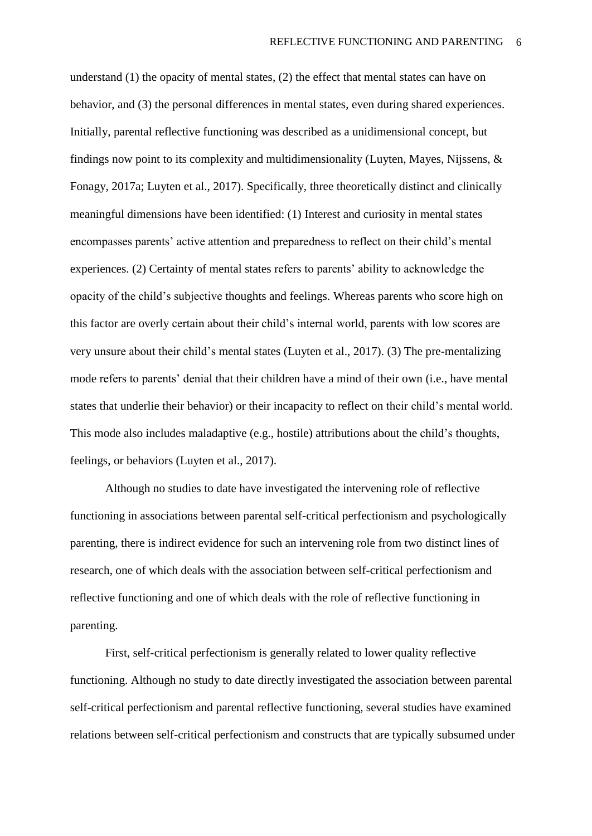understand (1) the opacity of mental states, (2) the effect that mental states can have on behavior, and (3) the personal differences in mental states, even during shared experiences. Initially, parental reflective functioning was described as a unidimensional concept, but findings now point to its complexity and multidimensionality (Luyten, Mayes, Nijssens, & Fonagy, 2017a; Luyten et al., 2017). Specifically, three theoretically distinct and clinically meaningful dimensions have been identified: (1) Interest and curiosity in mental states encompasses parents' active attention and preparedness to reflect on their child's mental experiences. (2) Certainty of mental states refers to parents' ability to acknowledge the opacity of the child's subjective thoughts and feelings. Whereas parents who score high on this factor are overly certain about their child's internal world, parents with low scores are very unsure about their child's mental states (Luyten et al., 2017). (3) The pre-mentalizing mode refers to parents' denial that their children have a mind of their own (i.e., have mental states that underlie their behavior) or their incapacity to reflect on their child's mental world. This mode also includes maladaptive (e.g., hostile) attributions about the child's thoughts, feelings, or behaviors (Luyten et al., 2017).

Although no studies to date have investigated the intervening role of reflective functioning in associations between parental self-critical perfectionism and psychologically parenting, there is indirect evidence for such an intervening role from two distinct lines of research, one of which deals with the association between self-critical perfectionism and reflective functioning and one of which deals with the role of reflective functioning in parenting.

First, self-critical perfectionism is generally related to lower quality reflective functioning. Although no study to date directly investigated the association between parental self-critical perfectionism and parental reflective functioning, several studies have examined relations between self-critical perfectionism and constructs that are typically subsumed under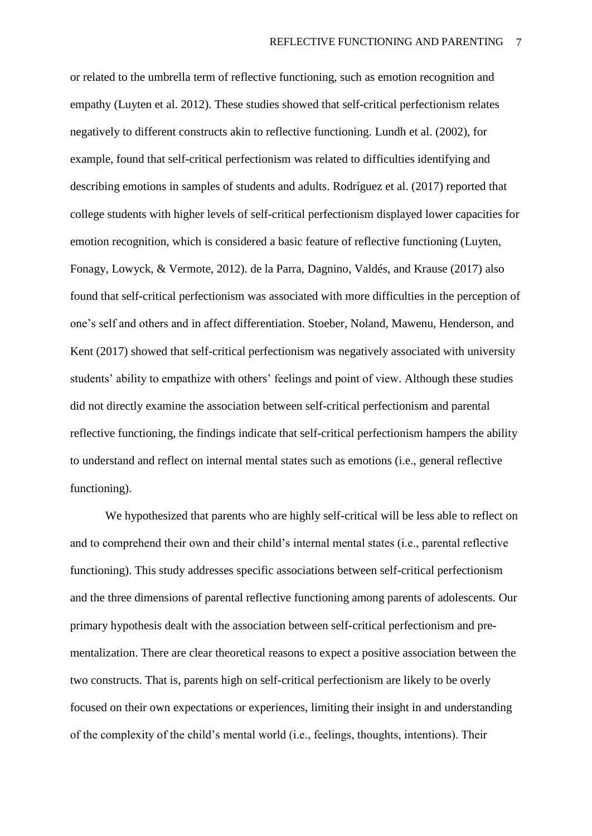or related to the umbrella term of reflective functioning, such as emotion recognition and empathy (Luyten et al. 2012). These studies showed that self-critical perfectionism relates negatively to different constructs akin to reflective functioning. Lundh et al. (2002), for example, found that self-critical perfectionism was related to difficulties identifying and describing emotions in samples of students and adults. Rodríguez et al. (2017) reported that college students with higher levels of self-critical perfectionism displayed lower capacities for emotion recognition, which is considered a basic feature of reflective functioning (Luyten, Fonagy, Lowyck, & Vermote, 2012). de la Parra, Dagnino, Valdés, and Krause (2017) also found that self-critical perfectionism was associated with more difficulties in the perception of one's self and others and in affect differentiation. Stoeber, Noland, Mawenu, Henderson, and Kent (2017) showed that self-critical perfectionism was negatively associated with university students' ability to empathize with others' feelings and point of view. Although these studies did not directly examine the association between self-critical perfectionism and parental reflective functioning, the findings indicate that self-critical perfectionism hampers the ability to understand and reflect on internal mental states such as emotions (i.e., general reflective functioning).

We hypothesized that parents who are highly self-critical will be less able to reflect on and to comprehend their own and their child's internal mental states (i.e., parental reflective functioning). This study addresses specific associations between self-critical perfectionism and the three dimensions of parental reflective functioning among parents of adolescents. Our primary hypothesis dealt with the association between self-critical perfectionism and prementalization. There are clear theoretical reasons to expect a positive association between the two constructs. That is, parents high on self-critical perfectionism are likely to be overly focused on their own expectations or experiences, limiting their insight in and understanding of the complexity of the child's mental world (i.e., feelings, thoughts, intentions). Their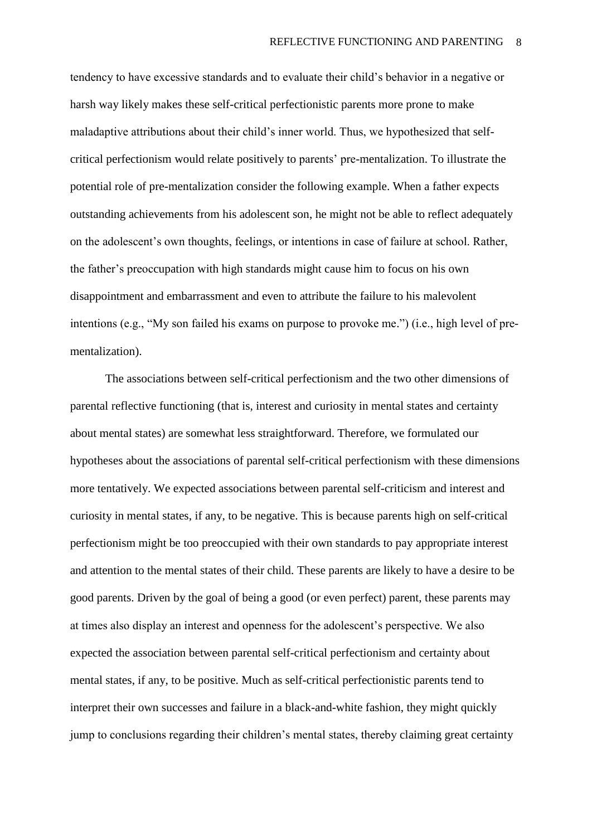tendency to have excessive standards and to evaluate their child's behavior in a negative or harsh way likely makes these self-critical perfectionistic parents more prone to make maladaptive attributions about their child's inner world. Thus, we hypothesized that selfcritical perfectionism would relate positively to parents' pre-mentalization. To illustrate the potential role of pre-mentalization consider the following example. When a father expects outstanding achievements from his adolescent son, he might not be able to reflect adequately on the adolescent's own thoughts, feelings, or intentions in case of failure at school. Rather, the father's preoccupation with high standards might cause him to focus on his own disappointment and embarrassment and even to attribute the failure to his malevolent intentions (e.g., "My son failed his exams on purpose to provoke me.") (i.e., high level of prementalization).

The associations between self-critical perfectionism and the two other dimensions of parental reflective functioning (that is, interest and curiosity in mental states and certainty about mental states) are somewhat less straightforward. Therefore, we formulated our hypotheses about the associations of parental self-critical perfectionism with these dimensions more tentatively. We expected associations between parental self-criticism and interest and curiosity in mental states, if any, to be negative. This is because parents high on self-critical perfectionism might be too preoccupied with their own standards to pay appropriate interest and attention to the mental states of their child. These parents are likely to have a desire to be good parents. Driven by the goal of being a good (or even perfect) parent, these parents may at times also display an interest and openness for the adolescent's perspective. We also expected the association between parental self-critical perfectionism and certainty about mental states, if any, to be positive. Much as self-critical perfectionistic parents tend to interpret their own successes and failure in a black-and-white fashion, they might quickly jump to conclusions regarding their children's mental states, thereby claiming great certainty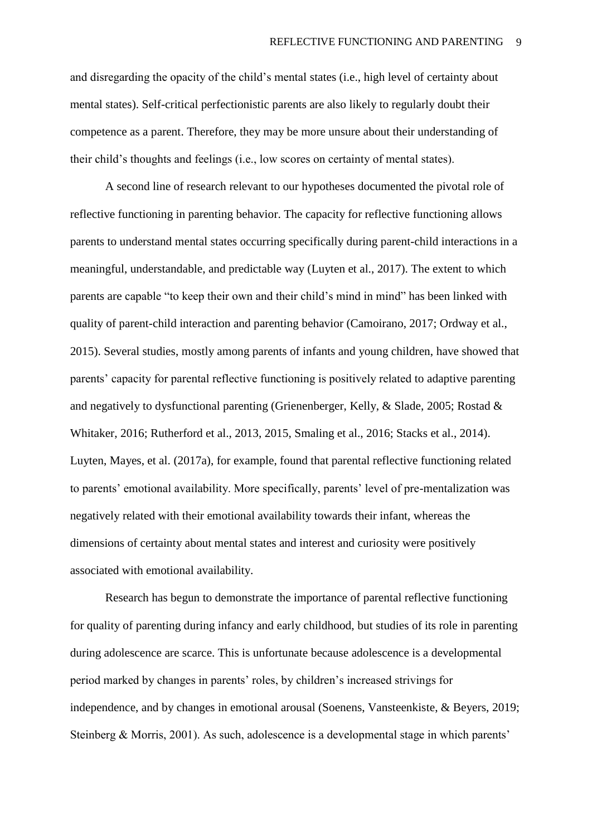and disregarding the opacity of the child's mental states (i.e., high level of certainty about mental states). Self-critical perfectionistic parents are also likely to regularly doubt their competence as a parent. Therefore, they may be more unsure about their understanding of their child's thoughts and feelings (i.e., low scores on certainty of mental states).

A second line of research relevant to our hypotheses documented the pivotal role of reflective functioning in parenting behavior. The capacity for reflective functioning allows parents to understand mental states occurring specifically during parent-child interactions in a meaningful, understandable, and predictable way (Luyten et al., 2017). The extent to which parents are capable "to keep their own and their child's mind in mind" has been linked with quality of parent-child interaction and parenting behavior (Camoirano, 2017; Ordway et al., 2015). Several studies, mostly among parents of infants and young children, have showed that parents' capacity for parental reflective functioning is positively related to adaptive parenting and negatively to dysfunctional parenting (Grienenberger, Kelly, & Slade, 2005; Rostad & Whitaker, 2016; Rutherford et al., 2013, 2015, Smaling et al., 2016; Stacks et al., 2014). Luyten, Mayes, et al. (2017a), for example, found that parental reflective functioning related to parents' emotional availability. More specifically, parents' level of pre-mentalization was negatively related with their emotional availability towards their infant, whereas the dimensions of certainty about mental states and interest and curiosity were positively associated with emotional availability.

Research has begun to demonstrate the importance of parental reflective functioning for quality of parenting during infancy and early childhood, but studies of its role in parenting during adolescence are scarce. This is unfortunate because adolescence is a developmental period marked by changes in parents' roles, by children's increased strivings for independence, and by changes in emotional arousal (Soenens, Vansteenkiste, & Beyers, 2019; Steinberg & Morris, 2001). As such, adolescence is a developmental stage in which parents'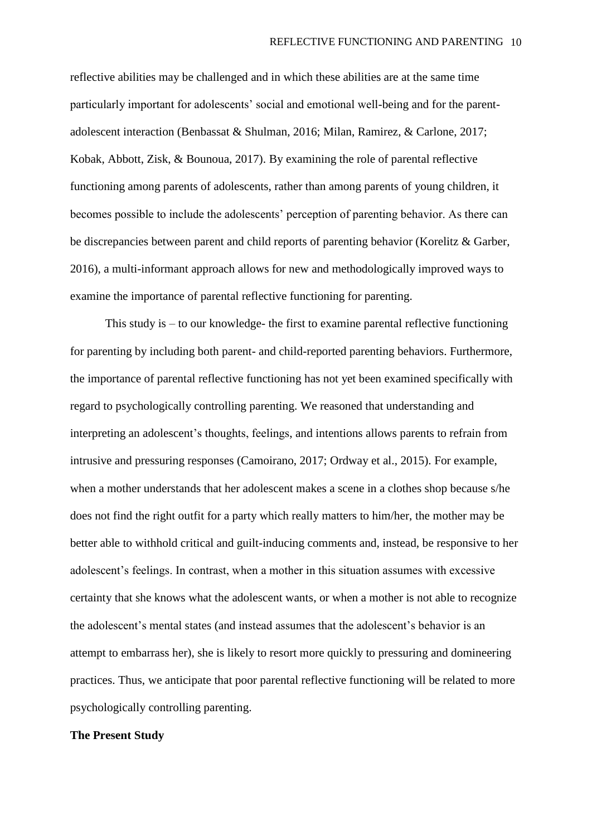reflective abilities may be challenged and in which these abilities are at the same time particularly important for adolescents' social and emotional well-being and for the parentadolescent interaction (Benbassat & Shulman, 2016; Milan, Ramirez, & Carlone, 2017; Kobak, Abbott, Zisk, & Bounoua, 2017). By examining the role of parental reflective functioning among parents of adolescents, rather than among parents of young children, it becomes possible to include the adolescents' perception of parenting behavior. As there can be discrepancies between parent and child reports of parenting behavior (Korelitz & Garber, 2016), a multi-informant approach allows for new and methodologically improved ways to examine the importance of parental reflective functioning for parenting.

This study is  $-$  to our knowledge- the first to examine parental reflective functioning for parenting by including both parent- and child-reported parenting behaviors. Furthermore, the importance of parental reflective functioning has not yet been examined specifically with regard to psychologically controlling parenting. We reasoned that understanding and interpreting an adolescent's thoughts, feelings, and intentions allows parents to refrain from intrusive and pressuring responses (Camoirano, 2017; Ordway et al., 2015). For example, when a mother understands that her adolescent makes a scene in a clothes shop because s/he does not find the right outfit for a party which really matters to him/her, the mother may be better able to withhold critical and guilt-inducing comments and, instead, be responsive to her adolescent's feelings. In contrast, when a mother in this situation assumes with excessive certainty that she knows what the adolescent wants, or when a mother is not able to recognize the adolescent's mental states (and instead assumes that the adolescent's behavior is an attempt to embarrass her), she is likely to resort more quickly to pressuring and domineering practices. Thus, we anticipate that poor parental reflective functioning will be related to more psychologically controlling parenting.

### **The Present Study**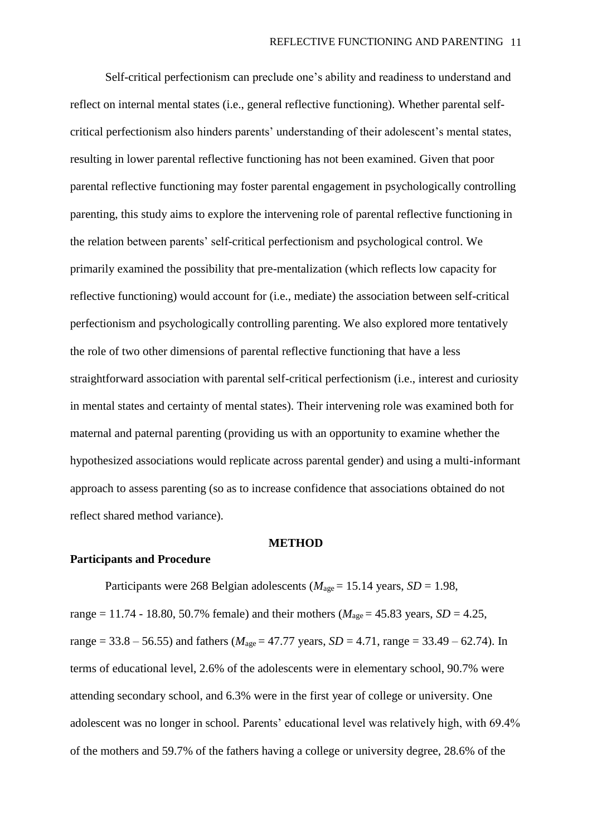Self-critical perfectionism can preclude one's ability and readiness to understand and reflect on internal mental states (i.e., general reflective functioning). Whether parental selfcritical perfectionism also hinders parents' understanding of their adolescent's mental states, resulting in lower parental reflective functioning has not been examined. Given that poor parental reflective functioning may foster parental engagement in psychologically controlling parenting, this study aims to explore the intervening role of parental reflective functioning in the relation between parents' self-critical perfectionism and psychological control. We primarily examined the possibility that pre-mentalization (which reflects low capacity for reflective functioning) would account for (i.e., mediate) the association between self-critical perfectionism and psychologically controlling parenting. We also explored more tentatively the role of two other dimensions of parental reflective functioning that have a less straightforward association with parental self-critical perfectionism (i.e., interest and curiosity in mental states and certainty of mental states). Their intervening role was examined both for maternal and paternal parenting (providing us with an opportunity to examine whether the hypothesized associations would replicate across parental gender) and using a multi-informant approach to assess parenting (so as to increase confidence that associations obtained do not reflect shared method variance).

#### **METHOD**

### **Participants and Procedure**

Participants were 268 Belgian adolescents ( $M_{\text{age}} = 15.14$  years,  $SD = 1.98$ , range = 11.74 - 18.80, 50.7% female) and their mothers ( $M_{\text{age}} = 45.83$  years,  $SD = 4.25$ , range = 33.8 – 56.55) and fathers ( $M_{\text{age}}$  = 47.77 years, *SD* = 4.71, range = 33.49 – 62.74). In terms of educational level, 2.6% of the adolescents were in elementary school, 90.7% were attending secondary school, and 6.3% were in the first year of college or university. One adolescent was no longer in school. Parents' educational level was relatively high, with 69.4% of the mothers and 59.7% of the fathers having a college or university degree, 28.6% of the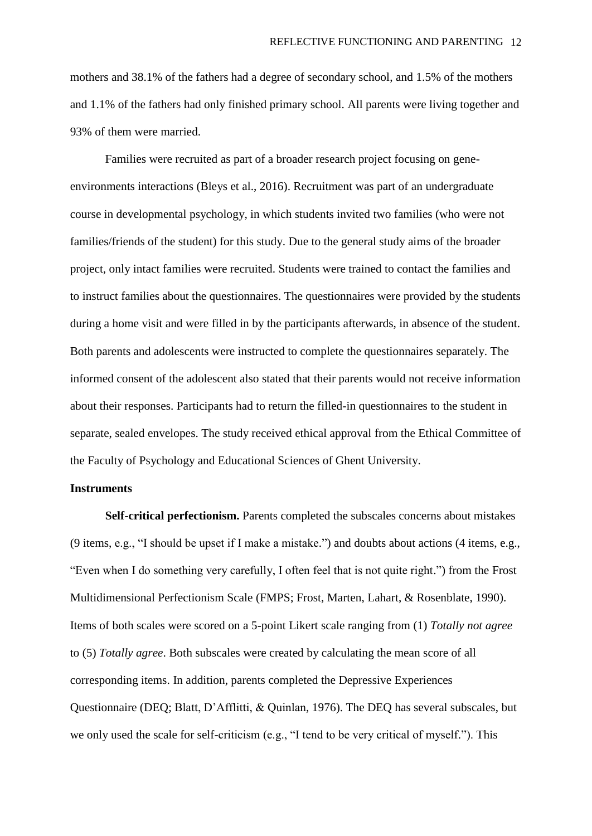mothers and 38.1% of the fathers had a degree of secondary school, and 1.5% of the mothers and 1.1% of the fathers had only finished primary school. All parents were living together and 93% of them were married.

Families were recruited as part of a broader research project focusing on geneenvironments interactions (Bleys et al., 2016). Recruitment was part of an undergraduate course in developmental psychology, in which students invited two families (who were not families/friends of the student) for this study. Due to the general study aims of the broader project, only intact families were recruited. Students were trained to contact the families and to instruct families about the questionnaires. The questionnaires were provided by the students during a home visit and were filled in by the participants afterwards, in absence of the student. Both parents and adolescents were instructed to complete the questionnaires separately. The informed consent of the adolescent also stated that their parents would not receive information about their responses. Participants had to return the filled-in questionnaires to the student in separate, sealed envelopes. The study received ethical approval from the Ethical Committee of the Faculty of Psychology and Educational Sciences of Ghent University.

# **Instruments**

**Self-critical perfectionism.** Parents completed the subscales concerns about mistakes (9 items, e.g., "I should be upset if I make a mistake.") and doubts about actions (4 items, e.g., "Even when I do something very carefully, I often feel that is not quite right.") from the Frost Multidimensional Perfectionism Scale (FMPS; Frost, Marten, Lahart, & Rosenblate, 1990). Items of both scales were scored on a 5-point Likert scale ranging from (1) *Totally not agree* to (5) *Totally agree*. Both subscales were created by calculating the mean score of all corresponding items. In addition, parents completed the Depressive Experiences Questionnaire (DEQ; Blatt, D'Afflitti, & Quinlan, 1976). The DEQ has several subscales, but we only used the scale for self-criticism (e.g., "I tend to be very critical of myself."). This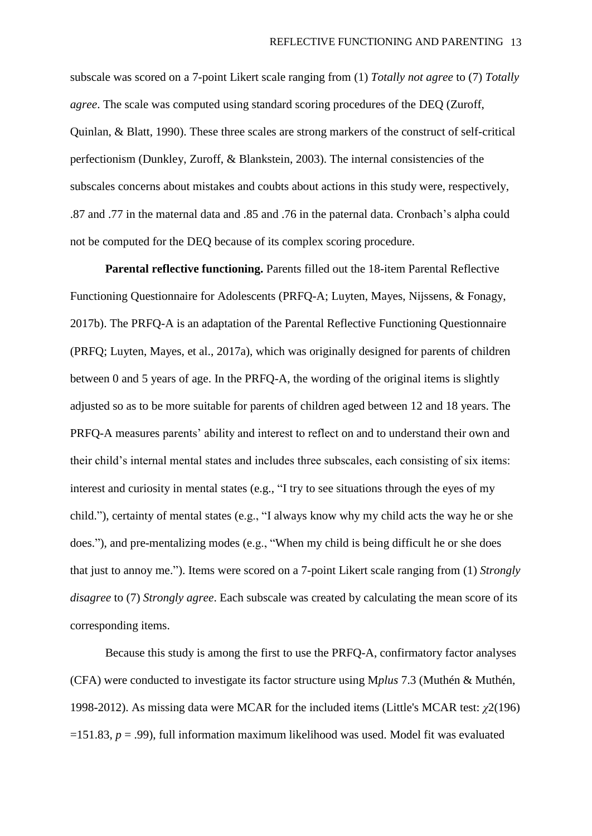subscale was scored on a 7-point Likert scale ranging from (1) *Totally not agree* to (7) *Totally agree*. The scale was computed using standard scoring procedures of the DEQ (Zuroff, Quinlan, & Blatt, 1990). These three scales are strong markers of the construct of self-critical perfectionism (Dunkley, Zuroff, & Blankstein, 2003). The internal consistencies of the subscales concerns about mistakes and coubts about actions in this study were, respectively, .87 and .77 in the maternal data and .85 and .76 in the paternal data. Cronbach's alpha could not be computed for the DEQ because of its complex scoring procedure.

**Parental reflective functioning.** Parents filled out the 18-item Parental Reflective Functioning Questionnaire for Adolescents (PRFQ-A; Luyten, Mayes, Nijssens, & Fonagy, 2017b). The PRFQ-A is an adaptation of the Parental Reflective Functioning Questionnaire (PRFQ; Luyten, Mayes, et al., 2017a), which was originally designed for parents of children between 0 and 5 years of age. In the PRFQ-A, the wording of the original items is slightly adjusted so as to be more suitable for parents of children aged between 12 and 18 years. The PRFQ-A measures parents' ability and interest to reflect on and to understand their own and their child's internal mental states and includes three subscales, each consisting of six items: interest and curiosity in mental states (e.g., "I try to see situations through the eyes of my child."), certainty of mental states (e.g., "I always know why my child acts the way he or she does."), and pre-mentalizing modes (e.g., "When my child is being difficult he or she does that just to annoy me."). Items were scored on a 7-point Likert scale ranging from (1) *Strongly disagree* to (7) *Strongly agree*. Each subscale was created by calculating the mean score of its corresponding items.

Because this study is among the first to use the PRFQ-A, confirmatory factor analyses (CFA) were conducted to investigate its factor structure using M*plus* 7.3 (Muthén & Muthén, 1998-2012). As missing data were MCAR for the included items (Little's MCAR test: *χ*2(196)  $=151.83$ ,  $p=.99$ ), full information maximum likelihood was used. Model fit was evaluated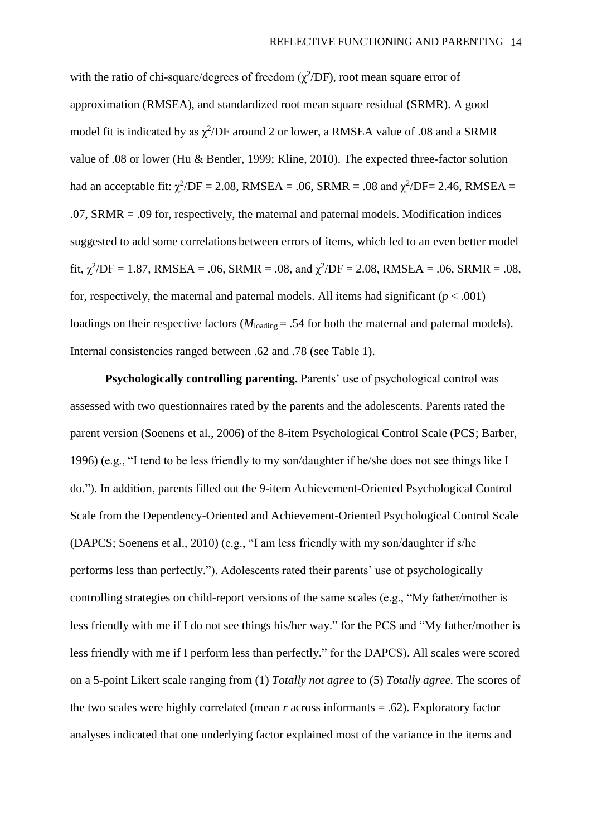with the ratio of chi-square/degrees of freedom  $(\chi^2/DF)$ , root mean square error of approximation (RMSEA), and standardized root mean square residual (SRMR). A good model fit is indicated by as  $\chi^2$ /DF around 2 or lower, a RMSEA value of .08 and a SRMR value of .08 or lower (Hu & Bentler, 1999; Kline, 2010). The expected three-factor solution had an acceptable fit:  $\chi^2$ /DF = 2.08, RMSEA = .06, SRMR = .08 and  $\chi^2$ /DF= 2.46, RMSEA = .07, SRMR = .09 for, respectively, the maternal and paternal models. Modification indices suggested to add some correlations between errors of items, which led to an even better model fit,  $\chi^2$ /DF = 1.87, RMSEA = .06, SRMR = .08, and  $\chi^2$ /DF = 2.08, RMSEA = .06, SRMR = .08, for, respectively, the maternal and paternal models. All items had significant  $(p < .001)$ loadings on their respective factors  $(M_{\text{loading}} = .54$  for both the maternal and paternal models). Internal consistencies ranged between .62 and .78 (see Table 1).

**Psychologically controlling parenting.** Parents' use of psychological control was assessed with two questionnaires rated by the parents and the adolescents. Parents rated the parent version (Soenens et al., 2006) of the 8-item Psychological Control Scale (PCS; Barber, 1996) (e.g., "I tend to be less friendly to my son/daughter if he/she does not see things like I do."). In addition, parents filled out the 9-item Achievement-Oriented Psychological Control Scale from the Dependency-Oriented and Achievement-Oriented Psychological Control Scale (DAPCS; Soenens et al., 2010) (e.g., "I am less friendly with my son/daughter if s/he performs less than perfectly."). Adolescents rated their parents' use of psychologically controlling strategies on child-report versions of the same scales (e.g., "My father/mother is less friendly with me if I do not see things his/her way." for the PCS and "My father/mother is less friendly with me if I perform less than perfectly." for the DAPCS). All scales were scored on a 5-point Likert scale ranging from (1) *Totally not agree* to (5) *Totally agree*. The scores of the two scales were highly correlated (mean *r* across informants = .62). Exploratory factor analyses indicated that one underlying factor explained most of the variance in the items and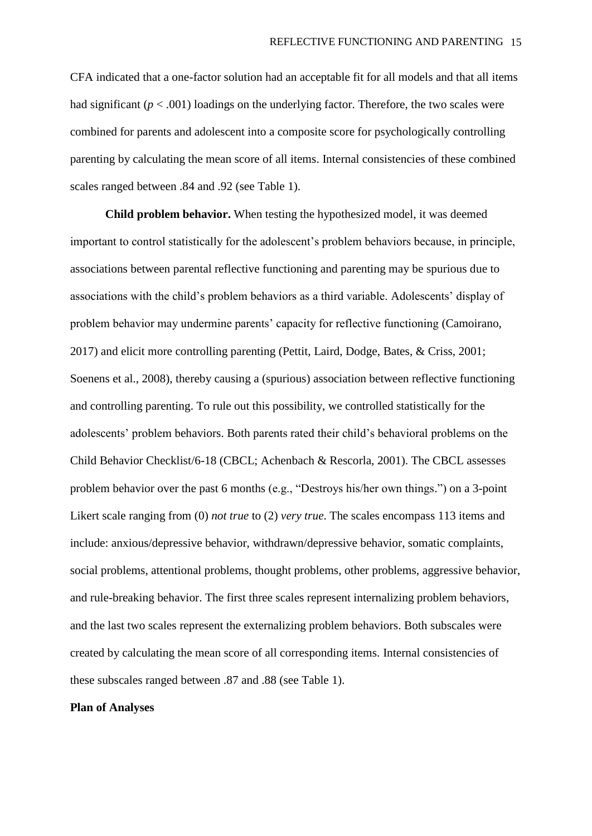CFA indicated that a one-factor solution had an acceptable fit for all models and that all items had significant  $(p < .001)$  loadings on the underlying factor. Therefore, the two scales were combined for parents and adolescent into a composite score for psychologically controlling parenting by calculating the mean score of all items. Internal consistencies of these combined scales ranged between .84 and .92 (see Table 1).

**Child problem behavior.** When testing the hypothesized model, it was deemed important to control statistically for the adolescent's problem behaviors because, in principle, associations between parental reflective functioning and parenting may be spurious due to associations with the child's problem behaviors as a third variable. Adolescents' display of problem behavior may undermine parents' capacity for reflective functioning (Camoirano, 2017) and elicit more controlling parenting (Pettit, Laird, Dodge, Bates, & Criss, 2001; Soenens et al., 2008), thereby causing a (spurious) association between reflective functioning and controlling parenting. To rule out this possibility, we controlled statistically for the adolescents' problem behaviors. Both parents rated their child's behavioral problems on the Child Behavior Checklist/6-18 (CBCL; Achenbach & Rescorla, 2001). The CBCL assesses problem behavior over the past 6 months (e.g., "Destroys his/her own things.") on a 3-point Likert scale ranging from (0) *not true* to (2) *very true*. The scales encompass 113 items and include: anxious/depressive behavior, withdrawn/depressive behavior, somatic complaints, social problems, attentional problems, thought problems, other problems, aggressive behavior, and rule-breaking behavior. The first three scales represent internalizing problem behaviors, and the last two scales represent the externalizing problem behaviors. Both subscales were created by calculating the mean score of all corresponding items. Internal consistencies of these subscales ranged between .87 and .88 (see Table 1).

#### **Plan of Analyses**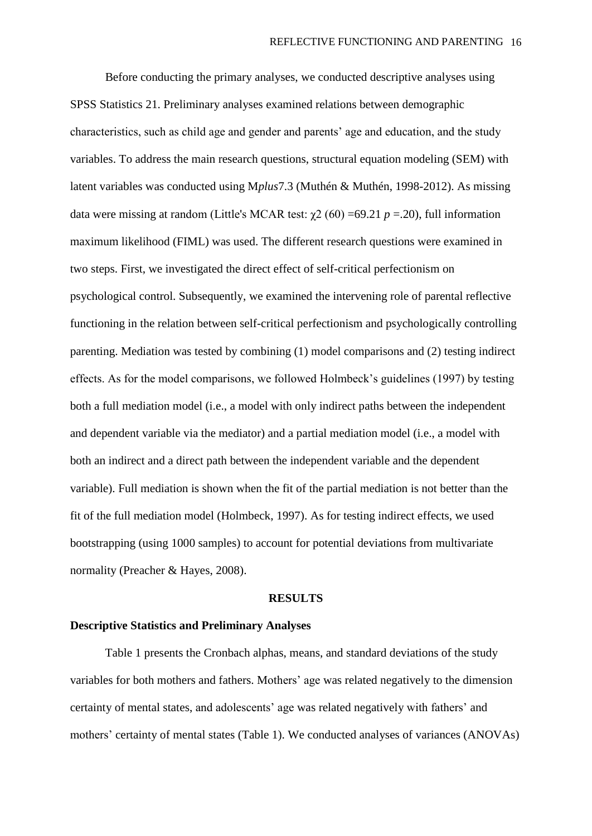Before conducting the primary analyses, we conducted descriptive analyses using SPSS Statistics 21. Preliminary analyses examined relations between demographic characteristics, such as child age and gender and parents' age and education, and the study variables. To address the main research questions, structural equation modeling (SEM) with latent variables was conducted using M*plus*7.3 (Muthén & Muthén, 1998-2012). As missing data were missing at random (Little's MCAR test:  $\chi$ 2 (60) = 69.21 *p* = .20), full information maximum likelihood (FIML) was used. The different research questions were examined in two steps. First, we investigated the direct effect of self-critical perfectionism on psychological control. Subsequently, we examined the intervening role of parental reflective functioning in the relation between self-critical perfectionism and psychologically controlling parenting. Mediation was tested by combining (1) model comparisons and (2) testing indirect effects. As for the model comparisons, we followed Holmbeck's guidelines (1997) by testing both a full mediation model (i.e., a model with only indirect paths between the independent and dependent variable via the mediator) and a partial mediation model (i.e., a model with both an indirect and a direct path between the independent variable and the dependent variable). Full mediation is shown when the fit of the partial mediation is not better than the fit of the full mediation model (Holmbeck, 1997). As for testing indirect effects, we used bootstrapping (using 1000 samples) to account for potential deviations from multivariate normality (Preacher & Hayes, 2008).

#### **RESULTS**

### **Descriptive Statistics and Preliminary Analyses**

Table 1 presents the Cronbach alphas, means, and standard deviations of the study variables for both mothers and fathers. Mothers' age was related negatively to the dimension certainty of mental states, and adolescents' age was related negatively with fathers' and mothers' certainty of mental states (Table 1). We conducted analyses of variances (ANOVAs)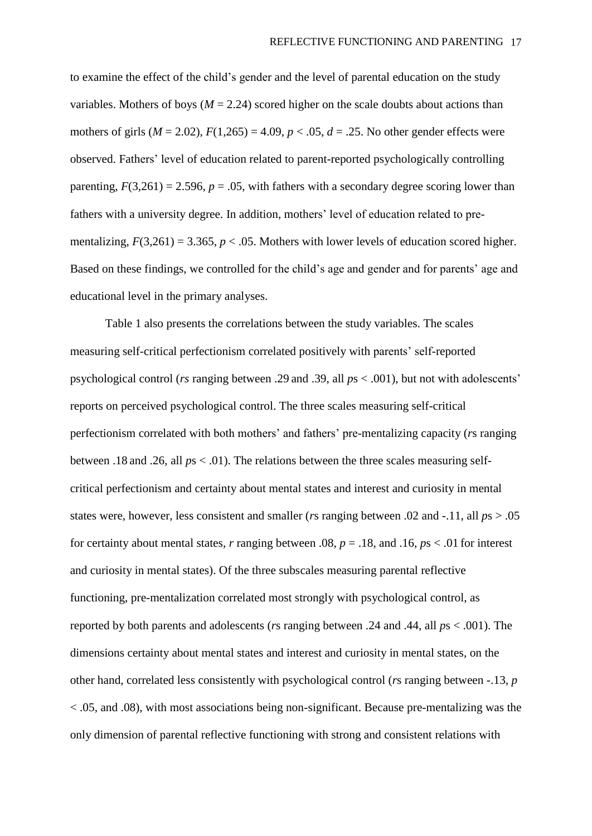to examine the effect of the child's gender and the level of parental education on the study variables. Mothers of boys ( $M = 2.24$ ) scored higher on the scale doubts about actions than mothers of girls  $(M = 2.02)$ ,  $F(1,265) = 4.09$ ,  $p < .05$ ,  $d = .25$ . No other gender effects were observed. Fathers' level of education related to parent-reported psychologically controlling parenting,  $F(3,261) = 2.596$ ,  $p = .05$ , with fathers with a secondary degree scoring lower than fathers with a university degree. In addition, mothers' level of education related to prementalizing,  $F(3,261) = 3.365$ ,  $p < .05$ . Mothers with lower levels of education scored higher. Based on these findings, we controlled for the child's age and gender and for parents' age and educational level in the primary analyses.

Table 1 also presents the correlations between the study variables. The scales measuring self-critical perfectionism correlated positively with parents' self-reported psychological control (*rs* ranging between .29 and .39, all *p*s < .001), but not with adolescents' reports on perceived psychological control. The three scales measuring self-critical perfectionism correlated with both mothers' and fathers' pre-mentalizing capacity (*r*s ranging between .18 and .26, all *p*s < .01). The relations between the three scales measuring selfcritical perfectionism and certainty about mental states and interest and curiosity in mental states were, however, less consistent and smaller (*r*s ranging between .02 and -.11, all *p*s > .05 for certainty about mental states, *r* ranging between .08, *p* = .18, and .16, *p*s < .01 for interest and curiosity in mental states). Of the three subscales measuring parental reflective functioning, pre-mentalization correlated most strongly with psychological control, as reported by both parents and adolescents (*r*s ranging between .24 and .44, all *p*s < .001). The dimensions certainty about mental states and interest and curiosity in mental states, on the other hand, correlated less consistently with psychological control (*r*s ranging between -.13, *p* < .05, and .08), with most associations being non-significant. Because pre-mentalizing was the only dimension of parental reflective functioning with strong and consistent relations with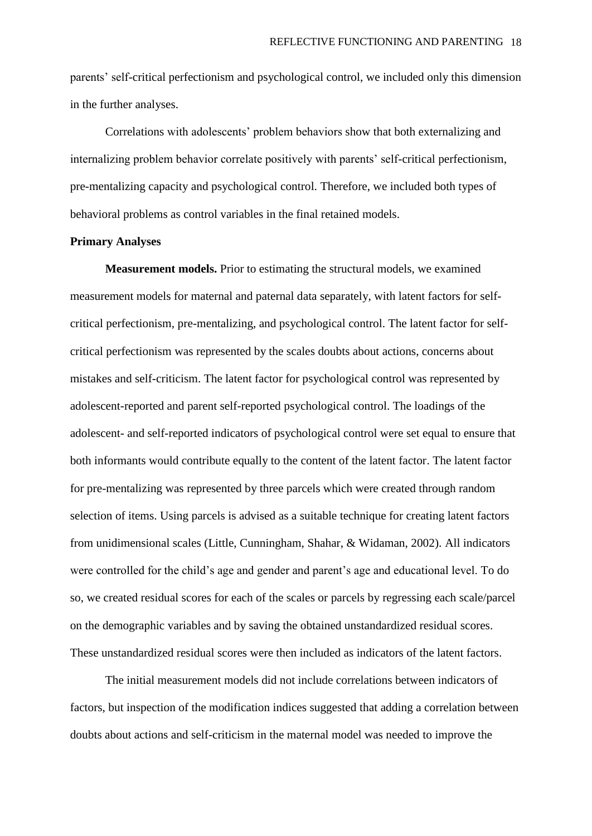parents' self-critical perfectionism and psychological control, we included only this dimension in the further analyses.

Correlations with adolescents' problem behaviors show that both externalizing and internalizing problem behavior correlate positively with parents' self-critical perfectionism, pre-mentalizing capacity and psychological control. Therefore, we included both types of behavioral problems as control variables in the final retained models.

#### **Primary Analyses**

**Measurement models.** Prior to estimating the structural models, we examined measurement models for maternal and paternal data separately, with latent factors for selfcritical perfectionism, pre-mentalizing, and psychological control. The latent factor for selfcritical perfectionism was represented by the scales doubts about actions, concerns about mistakes and self-criticism. The latent factor for psychological control was represented by adolescent-reported and parent self-reported psychological control. The loadings of the adolescent- and self-reported indicators of psychological control were set equal to ensure that both informants would contribute equally to the content of the latent factor. The latent factor for pre-mentalizing was represented by three parcels which were created through random selection of items. Using parcels is advised as a suitable technique for creating latent factors from unidimensional scales (Little, Cunningham, Shahar, & Widaman, 2002). All indicators were controlled for the child's age and gender and parent's age and educational level. To do so, we created residual scores for each of the scales or parcels by regressing each scale/parcel on the demographic variables and by saving the obtained unstandardized residual scores. These unstandardized residual scores were then included as indicators of the latent factors.

The initial measurement models did not include correlations between indicators of factors, but inspection of the modification indices suggested that adding a correlation between doubts about actions and self-criticism in the maternal model was needed to improve the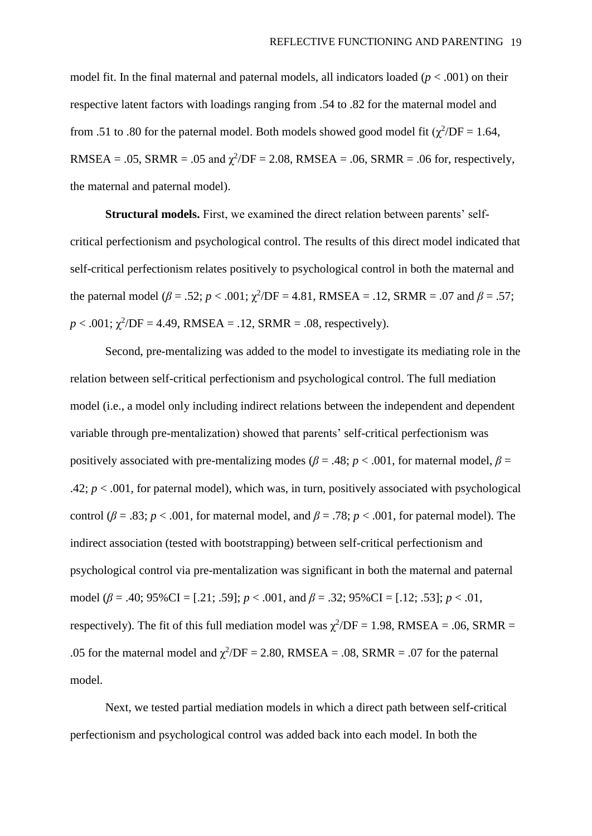model fit. In the final maternal and paternal models, all indicators loaded  $(p < .001)$  on their respective latent factors with loadings ranging from .54 to .82 for the maternal model and from .51 to .80 for the paternal model. Both models showed good model fit  $(\chi^2/DF = 1.64$ , RMSEA = .05, SRMR = .05 and  $\chi^2$ /DF = 2.08, RMSEA = .06, SRMR = .06 for, respectively, the maternal and paternal model).

**Structural models.** First, we examined the direct relation between parents' selfcritical perfectionism and psychological control. The results of this direct model indicated that self-critical perfectionism relates positively to psychological control in both the maternal and the paternal model ( $\beta = .52$ ;  $p < .001$ ;  $\chi^2$ /DF = 4.81, RMSEA = .12, SRMR = .07 and  $\beta = .57$ ;  $p < .001$ ;  $\chi^2$ /DF = 4.49, RMSEA = .12, SRMR = .08, respectively).

Second, pre-mentalizing was added to the model to investigate its mediating role in the relation between self-critical perfectionism and psychological control. The full mediation model (i.e., a model only including indirect relations between the independent and dependent variable through pre-mentalization) showed that parents' self-critical perfectionism was positively associated with pre-mentalizing modes ( $\beta$  = .48;  $p$  < .001, for maternal model,  $\beta$  = .42;  $p < .001$ , for paternal model), which was, in turn, positively associated with psychological control ( $\beta = .83$ ;  $p < .001$ , for maternal model, and  $\beta = .78$ ;  $p < .001$ , for paternal model). The indirect association (tested with bootstrapping) between self-critical perfectionism and psychological control via pre-mentalization was significant in both the maternal and paternal model (*β* = .40; 95%CI = [.21; .59]; *p* < .001, and *β* = .32; 95%CI = [.12; .53]; *p* < .01, respectively). The fit of this full mediation model was  $\chi^2/DF = 1.98$ , RMSEA = .06, SRMR = .05 for the maternal model and  $\chi^2$ /DF = 2.80, RMSEA = .08, SRMR = .07 for the paternal model.

Next, we tested partial mediation models in which a direct path between self-critical perfectionism and psychological control was added back into each model. In both the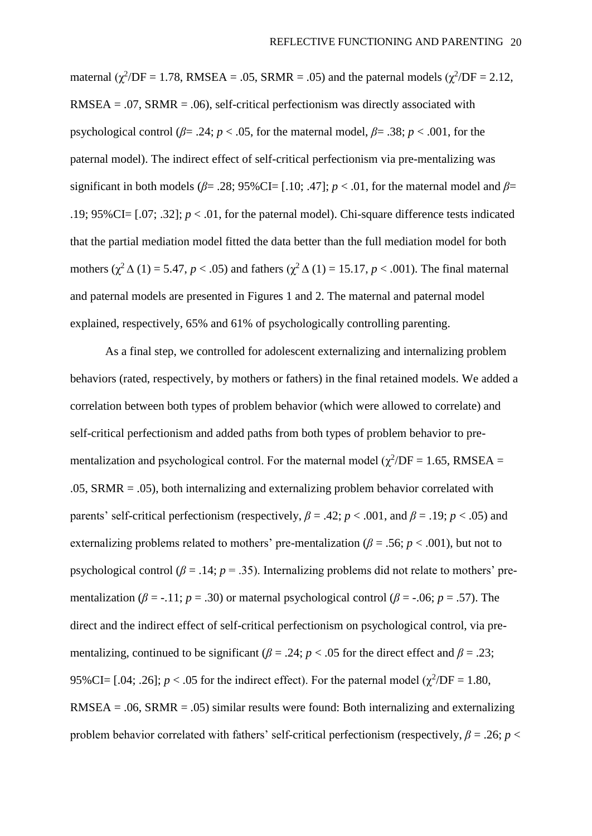maternal  $(\chi^2$ /DF = 1.78, RMSEA = .05, SRMR = .05) and the paternal models  $(\chi^2$ /DF = 2.12, RMSEA =  $.07$ , SRMR =  $.06$ ), self-critical perfectionism was directly associated with psychological control ( $\beta$ = .24;  $p$  < .05, for the maternal model,  $\beta$ = .38;  $p$  < .001, for the paternal model). The indirect effect of self-critical perfectionism via pre-mentalizing was significant in both models ( $\beta$ = .28; 95%CI= [.10; .47]; *p* < .01, for the maternal model and  $\beta$ = .19; 95%CI= [.07; .32]; *p* < .01, for the paternal model). Chi-square difference tests indicated that the partial mediation model fitted the data better than the full mediation model for both mothers ( $\chi^2$   $\Delta$  (1) = 5.47, *p* < .05) and fathers ( $\chi^2$   $\Delta$  (1) = 15.17, *p* < .001). The final maternal and paternal models are presented in Figures 1 and 2. The maternal and paternal model explained, respectively, 65% and 61% of psychologically controlling parenting.

As a final step, we controlled for adolescent externalizing and internalizing problem behaviors (rated, respectively, by mothers or fathers) in the final retained models. We added a correlation between both types of problem behavior (which were allowed to correlate) and self-critical perfectionism and added paths from both types of problem behavior to prementalization and psychological control. For the maternal model ( $\chi^2/DF = 1.65$ , RMSEA = .05, SRMR = .05), both internalizing and externalizing problem behavior correlated with parents' self-critical perfectionism (respectively,  $\beta = .42$ ;  $p < .001$ , and  $\beta = .19$ ;  $p < .05$ ) and externalizing problems related to mothers' pre-mentalization ( $\beta$  = .56; *p* < .001), but not to psychological control ( $\beta$  = .14;  $p$  = .35). Internalizing problems did not relate to mothers' prementalization ( $\beta$  = -.11; *p* = .30) or maternal psychological control ( $\beta$  = -.06; *p* = .57). The direct and the indirect effect of self-critical perfectionism on psychological control, via prementalizing, continued to be significant ( $\beta$  = .24; *p* < .05 for the direct effect and  $\beta$  = .23; 95%CI= [.04; .26];  $p < .05$  for the indirect effect). For the paternal model ( $\chi^2$ /DF = 1.80,  $RMSEA = .06, SRMR = .05)$  similar results were found: Both internalizing and externalizing problem behavior correlated with fathers' self-critical perfectionism (respectively,  $\beta = .26$ ;  $p <$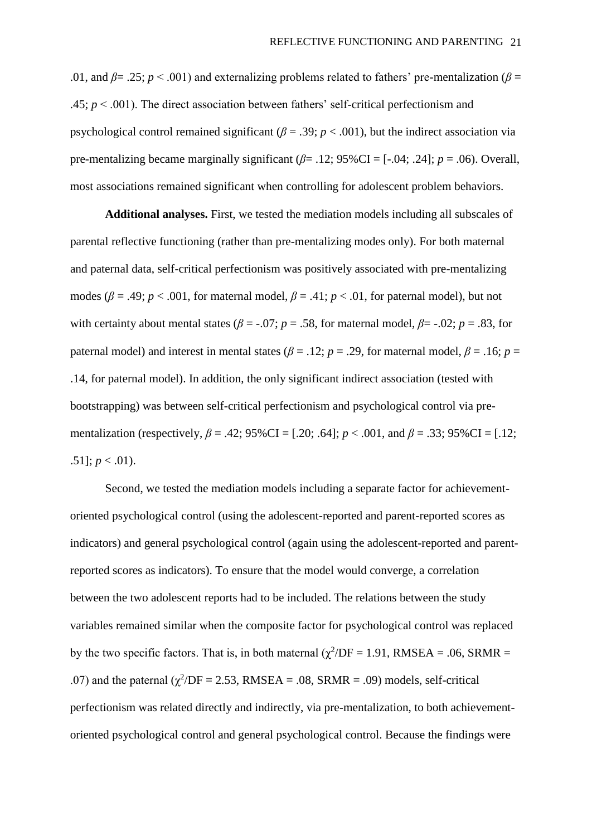.01, and  $\beta$ = .25;  $p$  < .001) and externalizing problems related to fathers' pre-mentalization ( $\beta$  = .45; *p* < .001). The direct association between fathers' self-critical perfectionism and psychological control remained significant ( $\beta$  = .39; *p* < .001), but the indirect association via pre-mentalizing became marginally significant (*β*= .12; 95%CI = [-.04; .24]; *p* = .06). Overall, most associations remained significant when controlling for adolescent problem behaviors.

**Additional analyses.** First, we tested the mediation models including all subscales of parental reflective functioning (rather than pre-mentalizing modes only). For both maternal and paternal data, self-critical perfectionism was positively associated with pre-mentalizing modes ( $\beta$  = .49; *p* < .001, for maternal model,  $\beta$  = .41; *p* < .01, for paternal model), but not with certainty about mental states ( $\beta$  = -.07; *p* = .58, for maternal model,  $\beta$ = -.02; *p* = .83, for paternal model) and interest in mental states ( $\beta$  = .12; *p* = .29, for maternal model,  $\beta$  = .16; *p* = .14, for paternal model). In addition, the only significant indirect association (tested with bootstrapping) was between self-critical perfectionism and psychological control via prementalization (respectively,  $\beta = .42$ ; 95%CI = [.20; .64];  $p < .001$ , and  $\beta = .33$ ; 95%CI = [.12; .51];  $p < .01$ ).

Second, we tested the mediation models including a separate factor for achievementoriented psychological control (using the adolescent-reported and parent-reported scores as indicators) and general psychological control (again using the adolescent-reported and parentreported scores as indicators). To ensure that the model would converge, a correlation between the two adolescent reports had to be included. The relations between the study variables remained similar when the composite factor for psychological control was replaced by the two specific factors. That is, in both maternal  $(\chi^2/DF = 1.91, RMSEA = .06, SRMR =$ .07) and the paternal  $(\chi^2/DF = 2.53, RMSEA = .08, SRMR = .09)$  models, self-critical perfectionism was related directly and indirectly, via pre-mentalization, to both achievementoriented psychological control and general psychological control. Because the findings were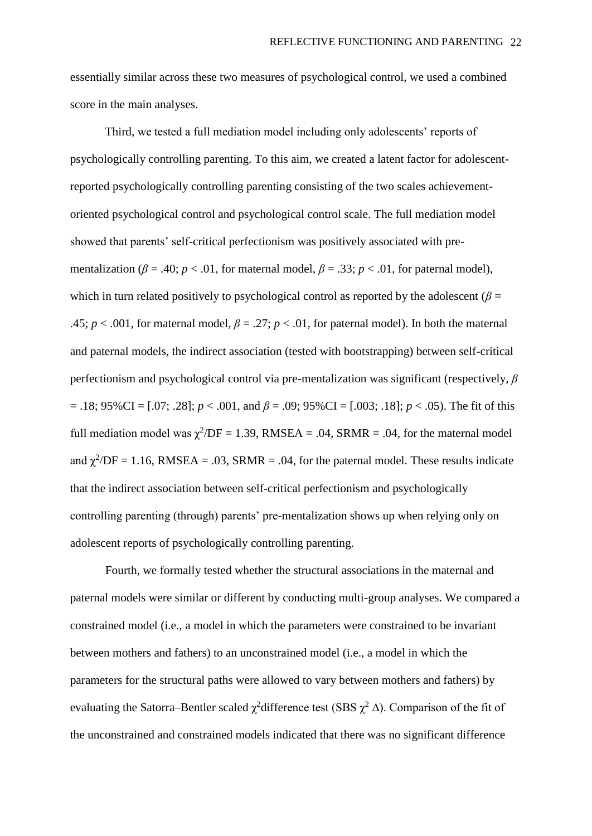essentially similar across these two measures of psychological control, we used a combined score in the main analyses.

Third, we tested a full mediation model including only adolescents' reports of psychologically controlling parenting. To this aim, we created a latent factor for adolescentreported psychologically controlling parenting consisting of the two scales achievementoriented psychological control and psychological control scale. The full mediation model showed that parents' self-critical perfectionism was positively associated with prementalization ( $\beta = .40$ ;  $p < .01$ , for maternal model,  $\beta = .33$ ;  $p < .01$ , for paternal model), which in turn related positively to psychological control as reported by the adolescent ( $\beta$  = .45;  $p < .001$ , for maternal model,  $\beta = .27$ ;  $p < .01$ , for paternal model). In both the maternal and paternal models, the indirect association (tested with bootstrapping) between self-critical perfectionism and psychological control via pre-mentalization was significant (respectively, *β* = .18; 95%CI = [.07; .28]; *p* < .001, and *β* = .09; 95%CI = [.003; .18]; *p* < .05). The fit of this full mediation model was  $\chi^2$ /DF = 1.39, RMSEA = .04, SRMR = .04, for the maternal model and  $\chi^2$ /DF = 1.16, RMSEA = .03, SRMR = .04, for the paternal model. These results indicate that the indirect association between self-critical perfectionism and psychologically controlling parenting (through) parents' pre-mentalization shows up when relying only on adolescent reports of psychologically controlling parenting.

Fourth, we formally tested whether the structural associations in the maternal and paternal models were similar or different by conducting multi-group analyses. We compared a constrained model (i.e., a model in which the parameters were constrained to be invariant between mothers and fathers) to an unconstrained model (i.e., a model in which the parameters for the structural paths were allowed to vary between mothers and fathers) by evaluating the Satorra–Bentler scaled  $\chi^2$ difference test (SBS  $\chi^2$   $\Delta$ ). Comparison of the fit of the unconstrained and constrained models indicated that there was no significant difference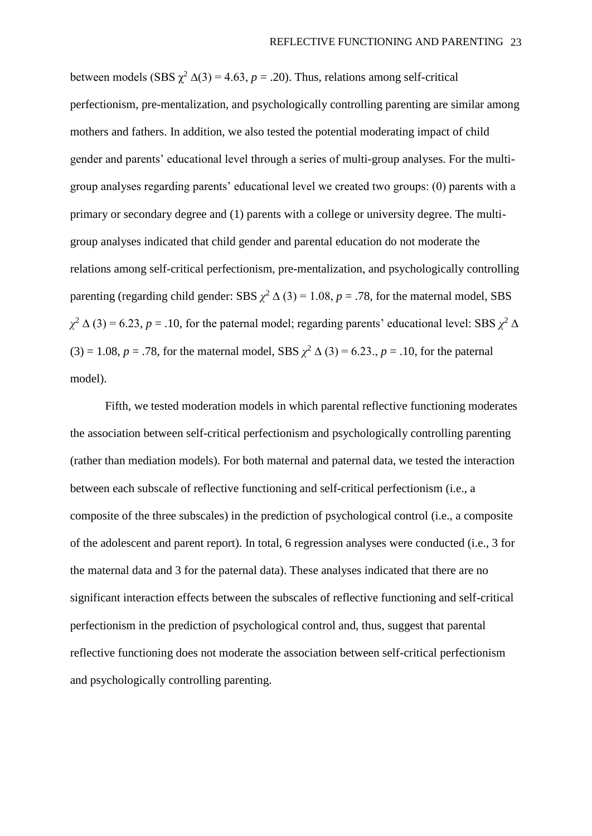between models (SBS  $\chi^2$  ∆(3) = 4.63, *p* = .20). Thus, relations among self-critical perfectionism, pre-mentalization, and psychologically controlling parenting are similar among mothers and fathers. In addition, we also tested the potential moderating impact of child gender and parents' educational level through a series of multi-group analyses. For the multigroup analyses regarding parents' educational level we created two groups: (0) parents with a primary or secondary degree and (1) parents with a college or university degree. The multigroup analyses indicated that child gender and parental education do not moderate the relations among self-critical perfectionism, pre-mentalization, and psychologically controlling parenting (regarding child gender: SBS  $\chi^2$   $\Delta$  (3) = 1.08, *p* = .78, for the maternal model, SBS  $\chi^2$   $\Delta$  (3) = 6.23, *p* = .10, for the paternal model; regarding parents' educational level: SBS  $\chi^2$   $\Delta$ (3) = 1.08, *p* = .78, for the maternal model, SBS  $\chi^2$   $\Delta$  (3) = 6.23., *p* = .10, for the paternal model).

Fifth, we tested moderation models in which parental reflective functioning moderates the association between self-critical perfectionism and psychologically controlling parenting (rather than mediation models). For both maternal and paternal data, we tested the interaction between each subscale of reflective functioning and self-critical perfectionism (i.e., a composite of the three subscales) in the prediction of psychological control (i.e., a composite of the adolescent and parent report). In total, 6 regression analyses were conducted (i.e., 3 for the maternal data and 3 for the paternal data). These analyses indicated that there are no significant interaction effects between the subscales of reflective functioning and self-critical perfectionism in the prediction of psychological control and, thus, suggest that parental reflective functioning does not moderate the association between self-critical perfectionism and psychologically controlling parenting.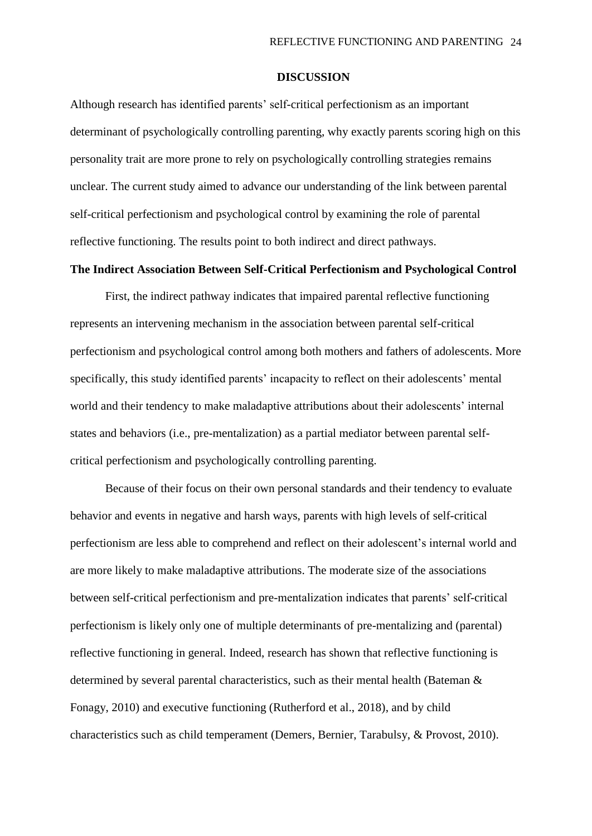#### **DISCUSSION**

Although research has identified parents' self-critical perfectionism as an important determinant of psychologically controlling parenting, why exactly parents scoring high on this personality trait are more prone to rely on psychologically controlling strategies remains unclear. The current study aimed to advance our understanding of the link between parental self-critical perfectionism and psychological control by examining the role of parental reflective functioning. The results point to both indirect and direct pathways.

# **The Indirect Association Between Self-Critical Perfectionism and Psychological Control**

First, the indirect pathway indicates that impaired parental reflective functioning represents an intervening mechanism in the association between parental self-critical perfectionism and psychological control among both mothers and fathers of adolescents. More specifically, this study identified parents' incapacity to reflect on their adolescents' mental world and their tendency to make maladaptive attributions about their adolescents' internal states and behaviors (i.e., pre-mentalization) as a partial mediator between parental selfcritical perfectionism and psychologically controlling parenting.

Because of their focus on their own personal standards and their tendency to evaluate behavior and events in negative and harsh ways, parents with high levels of self-critical perfectionism are less able to comprehend and reflect on their adolescent's internal world and are more likely to make maladaptive attributions. The moderate size of the associations between self-critical perfectionism and pre-mentalization indicates that parents' self-critical perfectionism is likely only one of multiple determinants of pre-mentalizing and (parental) reflective functioning in general. Indeed, research has shown that reflective functioning is determined by several parental characteristics, such as their mental health (Bateman & Fonagy, 2010) and executive functioning (Rutherford et al., 2018), and by child characteristics such as child temperament (Demers, Bernier, Tarabulsy, & Provost, 2010).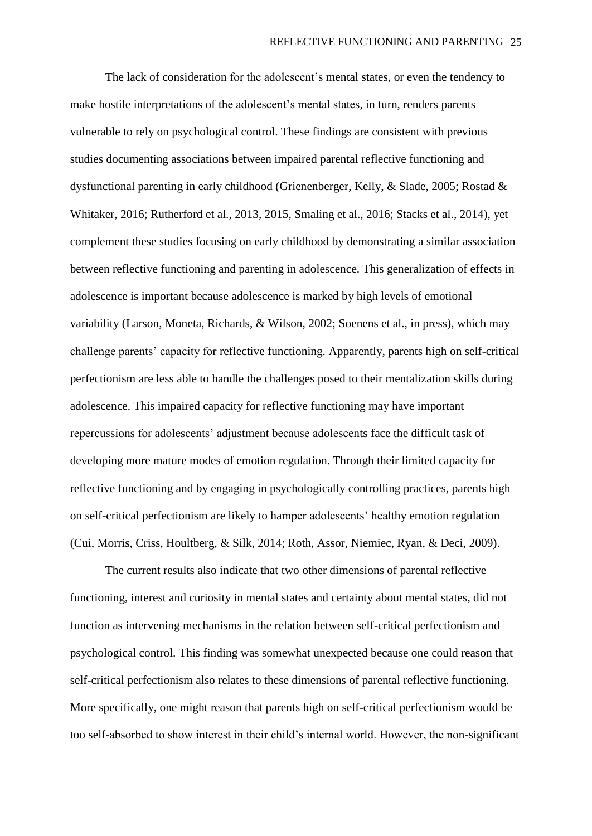The lack of consideration for the adolescent's mental states, or even the tendency to make hostile interpretations of the adolescent's mental states, in turn, renders parents vulnerable to rely on psychological control. These findings are consistent with previous studies documenting associations between impaired parental reflective functioning and dysfunctional parenting in early childhood (Grienenberger, Kelly, & Slade, 2005; Rostad & Whitaker, 2016; Rutherford et al., 2013, 2015, Smaling et al., 2016; Stacks et al., 2014), yet complement these studies focusing on early childhood by demonstrating a similar association between reflective functioning and parenting in adolescence. This generalization of effects in adolescence is important because adolescence is marked by high levels of emotional variability (Larson, Moneta, Richards, & Wilson, 2002; Soenens et al., in press), which may challenge parents' capacity for reflective functioning. Apparently, parents high on self-critical perfectionism are less able to handle the challenges posed to their mentalization skills during adolescence. This impaired capacity for reflective functioning may have important repercussions for adolescents' adjustment because adolescents face the difficult task of developing more mature modes of emotion regulation. Through their limited capacity for reflective functioning and by engaging in psychologically controlling practices, parents high on self-critical perfectionism are likely to hamper adolescents' healthy emotion regulation (Cui, Morris, Criss, Houltberg, & Silk, 2014; Roth, Assor, Niemiec, Ryan, & Deci, 2009).

The current results also indicate that two other dimensions of parental reflective functioning, interest and curiosity in mental states and certainty about mental states, did not function as intervening mechanisms in the relation between self-critical perfectionism and psychological control. This finding was somewhat unexpected because one could reason that self-critical perfectionism also relates to these dimensions of parental reflective functioning. More specifically, one might reason that parents high on self-critical perfectionism would be too self-absorbed to show interest in their child's internal world. However, the non-significant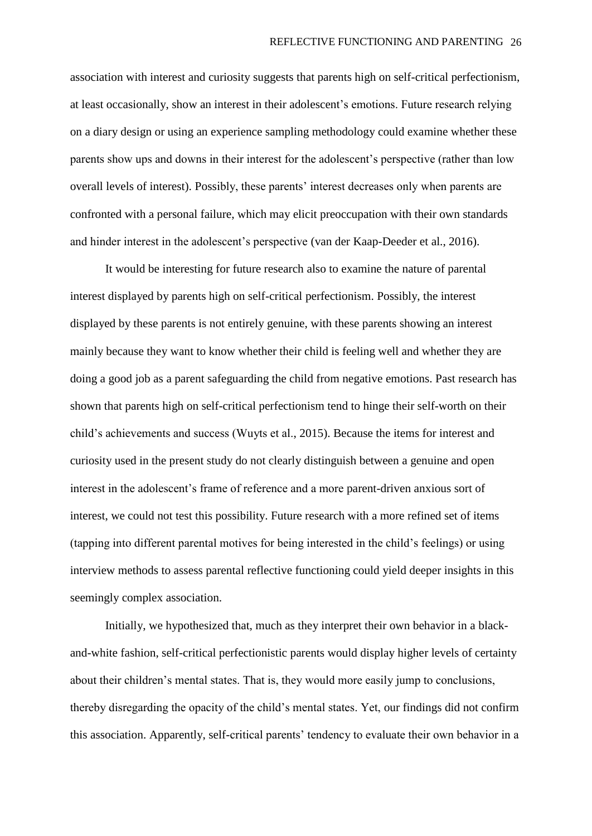association with interest and curiosity suggests that parents high on self-critical perfectionism, at least occasionally, show an interest in their adolescent's emotions. Future research relying on a diary design or using an experience sampling methodology could examine whether these parents show ups and downs in their interest for the adolescent's perspective (rather than low overall levels of interest). Possibly, these parents' interest decreases only when parents are confronted with a personal failure, which may elicit preoccupation with their own standards and hinder interest in the adolescent's perspective (van der Kaap-Deeder et al., 2016).

It would be interesting for future research also to examine the nature of parental interest displayed by parents high on self-critical perfectionism. Possibly, the interest displayed by these parents is not entirely genuine, with these parents showing an interest mainly because they want to know whether their child is feeling well and whether they are doing a good job as a parent safeguarding the child from negative emotions. Past research has shown that parents high on self-critical perfectionism tend to hinge their self-worth on their child's achievements and success (Wuyts et al., 2015). Because the items for interest and curiosity used in the present study do not clearly distinguish between a genuine and open interest in the adolescent's frame of reference and a more parent-driven anxious sort of interest, we could not test this possibility. Future research with a more refined set of items (tapping into different parental motives for being interested in the child's feelings) or using interview methods to assess parental reflective functioning could yield deeper insights in this seemingly complex association.

Initially, we hypothesized that, much as they interpret their own behavior in a blackand-white fashion, self-critical perfectionistic parents would display higher levels of certainty about their children's mental states. That is, they would more easily jump to conclusions, thereby disregarding the opacity of the child's mental states. Yet, our findings did not confirm this association. Apparently, self-critical parents' tendency to evaluate their own behavior in a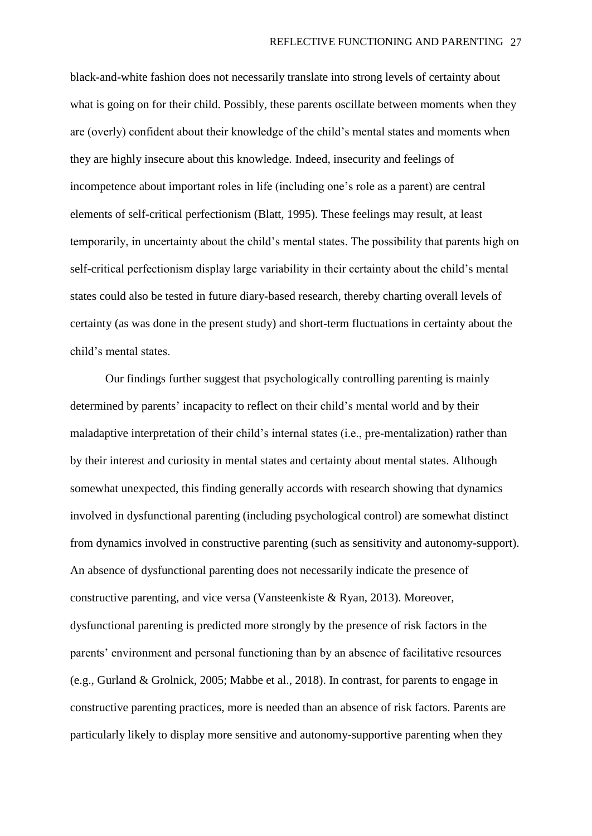black-and-white fashion does not necessarily translate into strong levels of certainty about what is going on for their child. Possibly, these parents oscillate between moments when they are (overly) confident about their knowledge of the child's mental states and moments when they are highly insecure about this knowledge. Indeed, insecurity and feelings of incompetence about important roles in life (including one's role as a parent) are central elements of self-critical perfectionism (Blatt, 1995). These feelings may result, at least temporarily, in uncertainty about the child's mental states. The possibility that parents high on self-critical perfectionism display large variability in their certainty about the child's mental states could also be tested in future diary-based research, thereby charting overall levels of certainty (as was done in the present study) and short-term fluctuations in certainty about the child's mental states.

Our findings further suggest that psychologically controlling parenting is mainly determined by parents' incapacity to reflect on their child's mental world and by their maladaptive interpretation of their child's internal states (i.e., pre-mentalization) rather than by their interest and curiosity in mental states and certainty about mental states. Although somewhat unexpected, this finding generally accords with research showing that dynamics involved in dysfunctional parenting (including psychological control) are somewhat distinct from dynamics involved in constructive parenting (such as sensitivity and autonomy-support). An absence of dysfunctional parenting does not necessarily indicate the presence of constructive parenting, and vice versa (Vansteenkiste & Ryan, 2013). Moreover, dysfunctional parenting is predicted more strongly by the presence of risk factors in the parents' environment and personal functioning than by an absence of facilitative resources (e.g., Gurland & Grolnick, 2005; Mabbe et al., 2018). In contrast, for parents to engage in constructive parenting practices, more is needed than an absence of risk factors. Parents are particularly likely to display more sensitive and autonomy-supportive parenting when they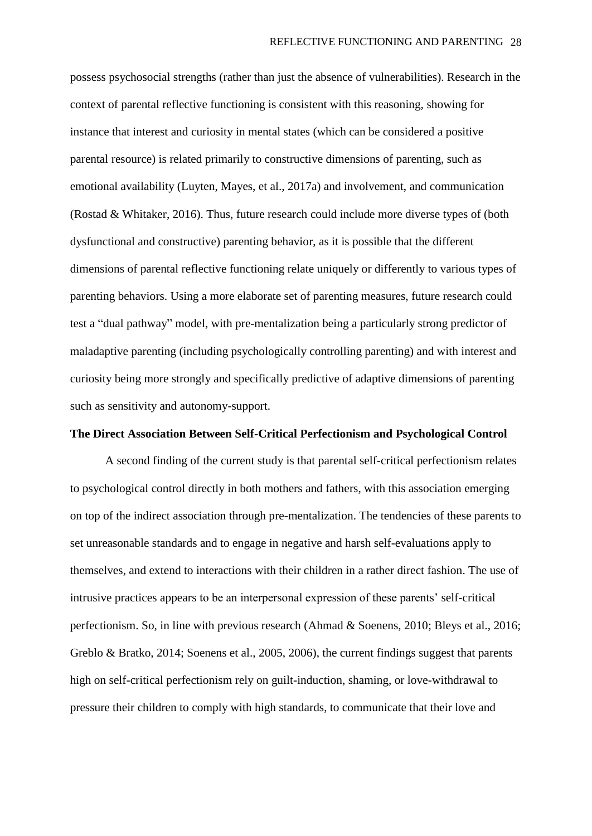possess psychosocial strengths (rather than just the absence of vulnerabilities). Research in the context of parental reflective functioning is consistent with this reasoning, showing for instance that interest and curiosity in mental states (which can be considered a positive parental resource) is related primarily to constructive dimensions of parenting, such as emotional availability (Luyten, Mayes, et al., 2017a) and involvement, and communication (Rostad & Whitaker, 2016). Thus, future research could include more diverse types of (both dysfunctional and constructive) parenting behavior, as it is possible that the different dimensions of parental reflective functioning relate uniquely or differently to various types of parenting behaviors. Using a more elaborate set of parenting measures, future research could test a "dual pathway" model, with pre-mentalization being a particularly strong predictor of maladaptive parenting (including psychologically controlling parenting) and with interest and curiosity being more strongly and specifically predictive of adaptive dimensions of parenting such as sensitivity and autonomy-support.

## **The Direct Association Between Self-Critical Perfectionism and Psychological Control**

A second finding of the current study is that parental self-critical perfectionism relates to psychological control directly in both mothers and fathers, with this association emerging on top of the indirect association through pre-mentalization. The tendencies of these parents to set unreasonable standards and to engage in negative and harsh self-evaluations apply to themselves, and extend to interactions with their children in a rather direct fashion. The use of intrusive practices appears to be an interpersonal expression of these parents' self-critical perfectionism. So, in line with previous research (Ahmad & Soenens, 2010; Bleys et al., 2016; Greblo & Bratko, 2014; Soenens et al., 2005, 2006), the current findings suggest that parents high on self-critical perfectionism rely on guilt-induction, shaming, or love-withdrawal to pressure their children to comply with high standards, to communicate that their love and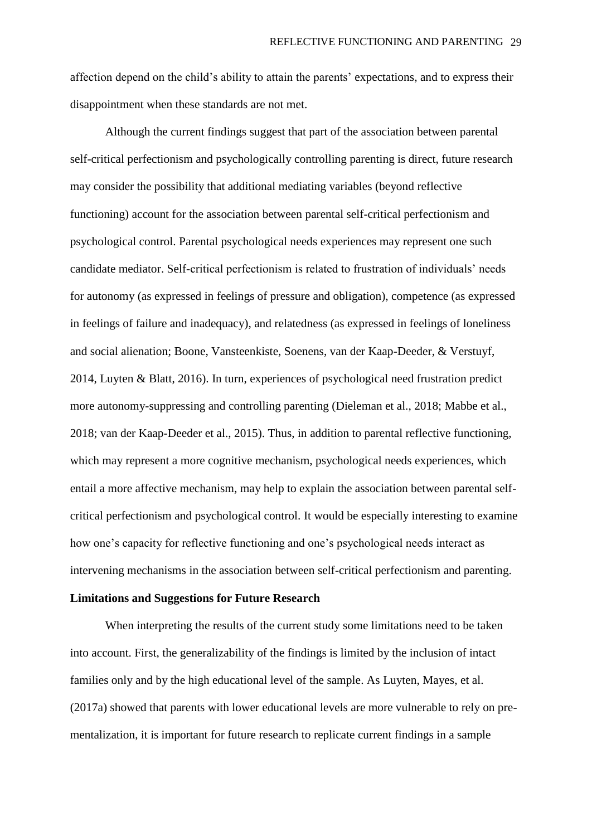affection depend on the child's ability to attain the parents' expectations, and to express their disappointment when these standards are not met.

Although the current findings suggest that part of the association between parental self-critical perfectionism and psychologically controlling parenting is direct, future research may consider the possibility that additional mediating variables (beyond reflective functioning) account for the association between parental self-critical perfectionism and psychological control. Parental psychological needs experiences may represent one such candidate mediator. Self-critical perfectionism is related to frustration of individuals' needs for autonomy (as expressed in feelings of pressure and obligation), competence (as expressed in feelings of failure and inadequacy), and relatedness (as expressed in feelings of loneliness and social alienation; Boone, Vansteenkiste, Soenens, van der Kaap-Deeder, & Verstuyf, 2014, Luyten & Blatt, 2016). In turn, experiences of psychological need frustration predict more autonomy-suppressing and controlling parenting (Dieleman et al., 2018; Mabbe et al., 2018; van der Kaap-Deeder et al., 2015). Thus, in addition to parental reflective functioning, which may represent a more cognitive mechanism, psychological needs experiences, which entail a more affective mechanism, may help to explain the association between parental selfcritical perfectionism and psychological control. It would be especially interesting to examine how one's capacity for reflective functioning and one's psychological needs interact as intervening mechanisms in the association between self-critical perfectionism and parenting.

# **Limitations and Suggestions for Future Research**

When interpreting the results of the current study some limitations need to be taken into account. First, the generalizability of the findings is limited by the inclusion of intact families only and by the high educational level of the sample. As Luyten, Mayes, et al. (2017a) showed that parents with lower educational levels are more vulnerable to rely on prementalization, it is important for future research to replicate current findings in a sample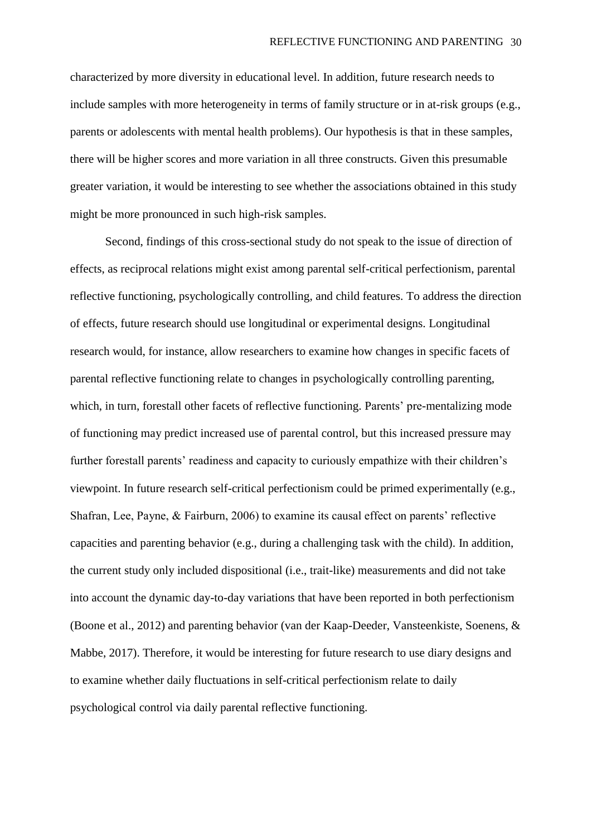characterized by more diversity in educational level. In addition, future research needs to include samples with more heterogeneity in terms of family structure or in at-risk groups (e.g., parents or adolescents with mental health problems). Our hypothesis is that in these samples, there will be higher scores and more variation in all three constructs. Given this presumable greater variation, it would be interesting to see whether the associations obtained in this study might be more pronounced in such high-risk samples.

Second, findings of this cross-sectional study do not speak to the issue of direction of effects, as reciprocal relations might exist among parental self-critical perfectionism, parental reflective functioning, psychologically controlling, and child features. To address the direction of effects, future research should use longitudinal or experimental designs. Longitudinal research would, for instance, allow researchers to examine how changes in specific facets of parental reflective functioning relate to changes in psychologically controlling parenting, which, in turn, forestall other facets of reflective functioning. Parents' pre-mentalizing mode of functioning may predict increased use of parental control, but this increased pressure may further forestall parents' readiness and capacity to curiously empathize with their children's viewpoint. In future research self-critical perfectionism could be primed experimentally (e.g., Shafran, Lee, Payne, & Fairburn, 2006) to examine its causal effect on parents' reflective capacities and parenting behavior (e.g., during a challenging task with the child). In addition, the current study only included dispositional (i.e., trait-like) measurements and did not take into account the dynamic day-to-day variations that have been reported in both perfectionism (Boone et al., 2012) and parenting behavior (van der Kaap-Deeder, Vansteenkiste, Soenens, & Mabbe, 2017). Therefore, it would be interesting for future research to use diary designs and to examine whether daily fluctuations in self-critical perfectionism relate to daily psychological control via daily parental reflective functioning.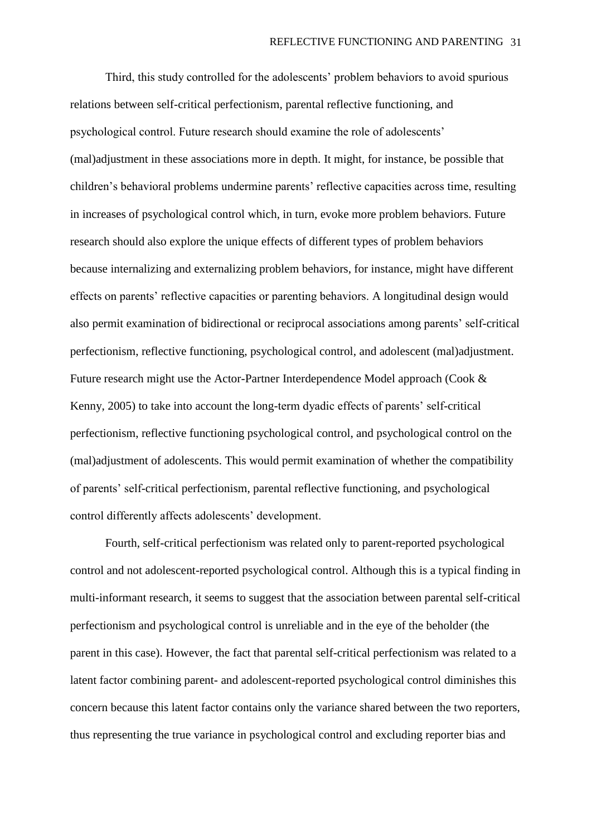Third, this study controlled for the adolescents' problem behaviors to avoid spurious relations between self-critical perfectionism, parental reflective functioning, and psychological control. Future research should examine the role of adolescents' (mal)adjustment in these associations more in depth. It might, for instance, be possible that children's behavioral problems undermine parents' reflective capacities across time, resulting in increases of psychological control which, in turn, evoke more problem behaviors. Future research should also explore the unique effects of different types of problem behaviors because internalizing and externalizing problem behaviors, for instance, might have different effects on parents' reflective capacities or parenting behaviors. A longitudinal design would also permit examination of bidirectional or reciprocal associations among parents' self-critical perfectionism, reflective functioning, psychological control, and adolescent (mal)adjustment. Future research might use the Actor-Partner Interdependence Model approach (Cook & Kenny, 2005) to take into account the long-term dyadic effects of parents' self-critical perfectionism, reflective functioning psychological control, and psychological control on the (mal)adjustment of adolescents. This would permit examination of whether the compatibility of parents' self-critical perfectionism, parental reflective functioning, and psychological control differently affects adolescents' development.

Fourth, self-critical perfectionism was related only to parent-reported psychological control and not adolescent-reported psychological control. Although this is a typical finding in multi-informant research, it seems to suggest that the association between parental self-critical perfectionism and psychological control is unreliable and in the eye of the beholder (the parent in this case). However, the fact that parental self-critical perfectionism was related to a latent factor combining parent- and adolescent-reported psychological control diminishes this concern because this latent factor contains only the variance shared between the two reporters, thus representing the true variance in psychological control and excluding reporter bias and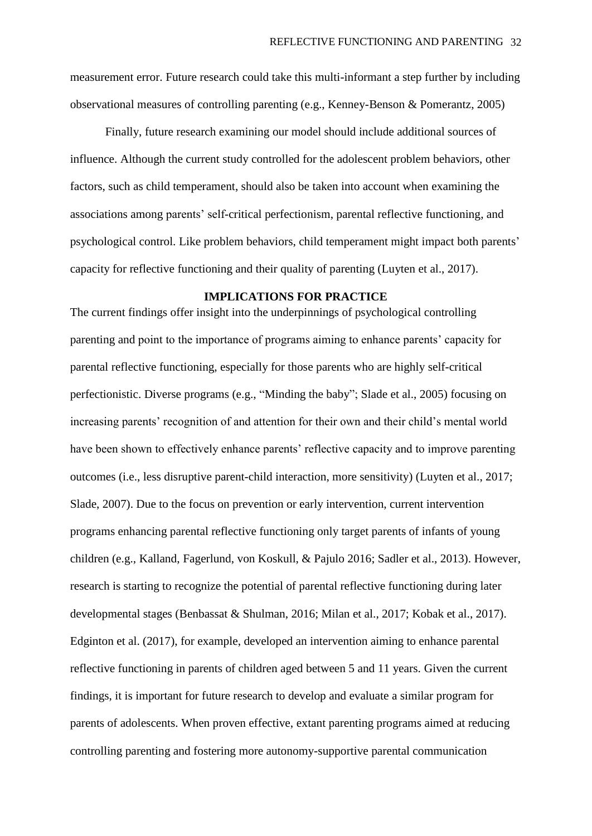measurement error. Future research could take this multi-informant a step further by including observational measures of controlling parenting (e.g., Kenney-Benson & Pomerantz, 2005)

Finally, future research examining our model should include additional sources of influence. Although the current study controlled for the adolescent problem behaviors, other factors, such as child temperament, should also be taken into account when examining the associations among parents' self-critical perfectionism, parental reflective functioning, and psychological control. Like problem behaviors, child temperament might impact both parents' capacity for reflective functioning and their quality of parenting (Luyten et al., 2017).

### **IMPLICATIONS FOR PRACTICE**

The current findings offer insight into the underpinnings of psychological controlling parenting and point to the importance of programs aiming to enhance parents' capacity for parental reflective functioning, especially for those parents who are highly self-critical perfectionistic. Diverse programs (e.g., "Minding the baby"; Slade et al., 2005) focusing on increasing parents' recognition of and attention for their own and their child's mental world have been shown to effectively enhance parents' reflective capacity and to improve parenting outcomes (i.e., less disruptive parent-child interaction, more sensitivity) (Luyten et al., 2017; Slade, 2007). Due to the focus on prevention or early intervention, current intervention programs enhancing parental reflective functioning only target parents of infants of young children (e.g., Kalland, Fagerlund, von Koskull, & Pajulo 2016; Sadler et al., 2013). However, research is starting to recognize the potential of parental reflective functioning during later developmental stages (Benbassat & Shulman, 2016; Milan et al., 2017; Kobak et al., 2017). Edginton et al. (2017), for example, developed an intervention aiming to enhance parental reflective functioning in parents of children aged between 5 and 11 years. Given the current findings, it is important for future research to develop and evaluate a similar program for parents of adolescents. When proven effective, extant parenting programs aimed at reducing controlling parenting and fostering more autonomy-supportive parental communication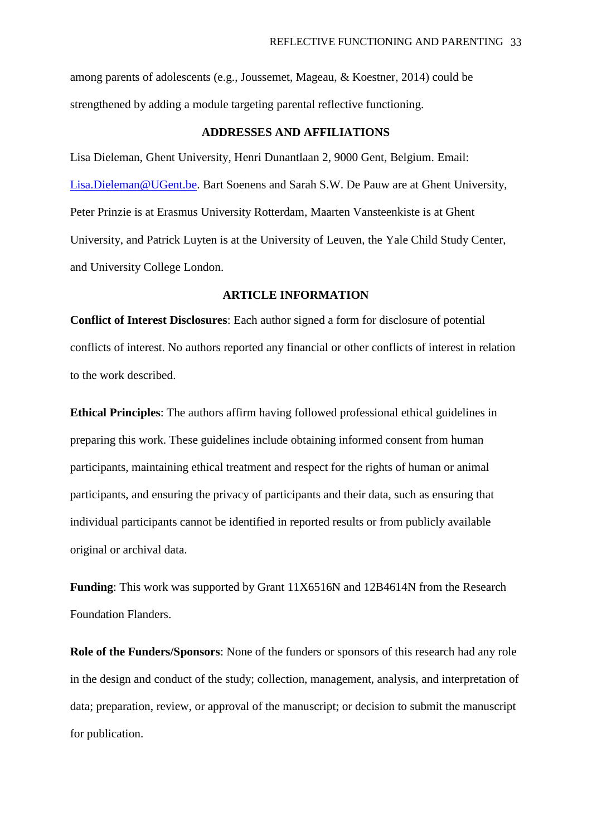among parents of adolescents (e.g., Joussemet, Mageau, & Koestner, 2014) could be strengthened by adding a module targeting parental reflective functioning.

### **ADDRESSES AND AFFILIATIONS**

Lisa Dieleman, Ghent University, Henri Dunantlaan 2, 9000 Gent, Belgium. Email: [Lisa.Dieleman@UGent.be.](mailto:Lisa.Dieleman@UGent.be) Bart Soenens and Sarah S.W. De Pauw are at Ghent University, Peter Prinzie is at Erasmus University Rotterdam, Maarten Vansteenkiste is at Ghent University, and Patrick Luyten is at the University of Leuven, the Yale Child Study Center, and University College London.

## **ARTICLE INFORMATION**

**Conflict of Interest Disclosures**: Each author signed a form for disclosure of potential conflicts of interest. No authors reported any financial or other conflicts of interest in relation to the work described.

**Ethical Principles**: The authors affirm having followed professional ethical guidelines in preparing this work. These guidelines include obtaining informed consent from human participants, maintaining ethical treatment and respect for the rights of human or animal participants, and ensuring the privacy of participants and their data, such as ensuring that individual participants cannot be identified in reported results or from publicly available original or archival data.

**Funding**: This work was supported by Grant 11X6516N and 12B4614N from the Research Foundation Flanders.

**Role of the Funders/Sponsors**: None of the funders or sponsors of this research had any role in the design and conduct of the study; collection, management, analysis, and interpretation of data; preparation, review, or approval of the manuscript; or decision to submit the manuscript for publication.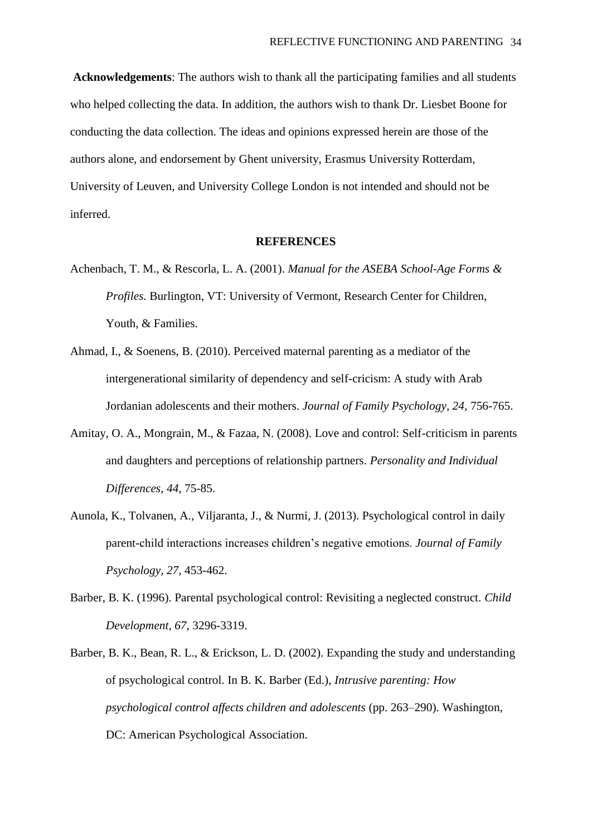**Acknowledgements**: The authors wish to thank all the participating families and all students who helped collecting the data. In addition, the authors wish to thank Dr. Liesbet Boone for conducting the data collection. The ideas and opinions expressed herein are those of the authors alone, and endorsement by Ghent university, Erasmus University Rotterdam, University of Leuven, and University College London is not intended and should not be inferred.

#### **REFERENCES**

- Achenbach, T. M., & Rescorla, L. A. (2001). *Manual for the ASEBA School-Age Forms & Profiles.* Burlington, VT: University of Vermont, Research Center for Children, Youth, & Families.
- Ahmad, I., & Soenens, B. (2010). Perceived maternal parenting as a mediator of the intergenerational similarity of dependency and self-cricism: A study with Arab Jordanian adolescents and their mothers. *Journal of Family Psychology, 24,* 756-765.
- Amitay, O. A., Mongrain, M., & Fazaa, N. (2008). Love and control: Self-criticism in parents and daughters and perceptions of relationship partners. *Personality and Individual Differences*, *44*, 75-85.
- Aunola, K., Tolvanen, A., Viljaranta, J., & Nurmi, J. (2013). Psychological control in daily parent-child interactions increases children's negative emotions. *Journal of Family Psychology, 27,* 453-462.
- Barber, B. K. (1996). Parental psychological control: Revisiting a neglected construct. *Child Development, 67,* 3296-3319.
- Barber, B. K., Bean, R. L., & Erickson, L. D. (2002). Expanding the study and understanding of psychological control. In B. K. Barber (Ed.), *Intrusive parenting: How psychological control affects children and adolescents* (pp. 263–290). Washington, DC: American Psychological Association.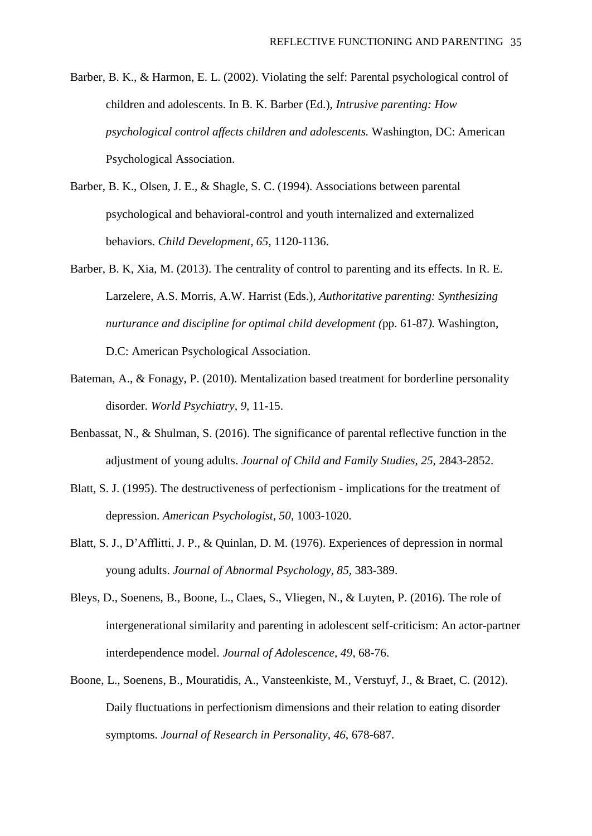- Barber, B. K., & Harmon, E. L. (2002). Violating the self: Parental psychological control of children and adolescents. In B. K. Barber (Ed.), *Intrusive parenting: How psychological control affects children and adolescents.* Washington, DC: American Psychological Association.
- Barber, B. K., Olsen, J. E., & Shagle, S. C. (1994). Associations between parental psychological and behavioral-control and youth internalized and externalized behaviors. *Child Development, 65,* 1120-1136.
- Barber, B. K, Xia, M. (2013). The centrality of control to parenting and its effects. In R. E. Larzelere, A.S. Morris, A.W. Harrist (Eds.), *Authoritative parenting: Synthesizing nurturance and discipline for optimal child development (*pp. 61-87*).* Washington, D.C: American Psychological Association.
- Bateman, A., & Fonagy, P. (2010). Mentalization based treatment for borderline personality disorder. *World Psychiatry, 9,* 11-15.
- Benbassat, N., & Shulman, S. (2016). The significance of parental reflective function in the adjustment of young adults. *Journal of Child and Family Studies, 25,* 2843-2852.
- Blatt, S. J. (1995). The destructiveness of perfectionism implications for the treatment of depression. *American Psychologist, 50,* 1003-1020.
- Blatt, S. J., D'Afflitti, J. P., & Quinlan, D. M. (1976). Experiences of depression in normal young adults. *Journal of Abnormal Psychology, 85,* 383-389.
- Bleys, D., Soenens, B., Boone, L., Claes, S., Vliegen, N., & Luyten, P. (2016). The role of intergenerational similarity and parenting in adolescent self-criticism: An actor-partner interdependence model. *Journal of Adolescence, 49*, 68-76.
- Boone, L., Soenens, B., Mouratidis, A., Vansteenkiste, M., Verstuyf, J., & Braet, C. (2012). Daily fluctuations in perfectionism dimensions and their relation to eating disorder symptoms. *Journal of Research in Personality, 46,* 678-687.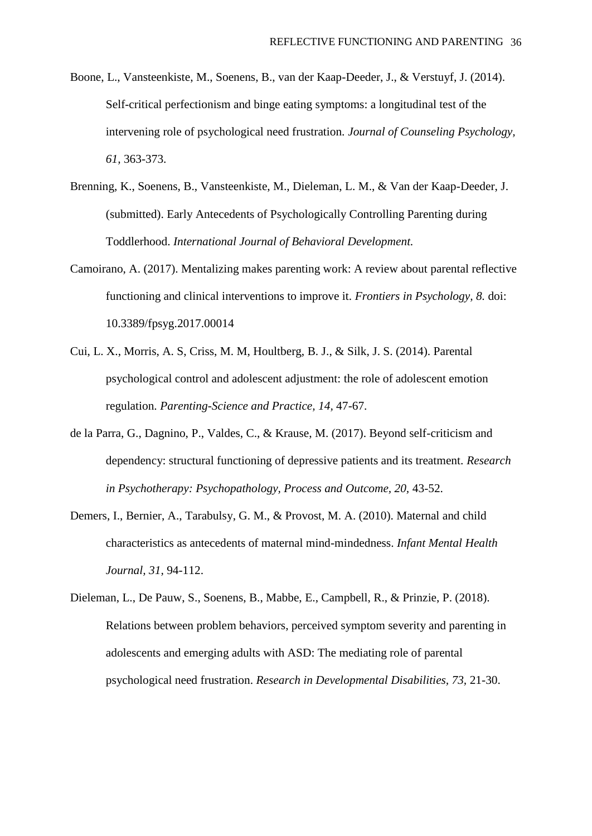- Boone, L., Vansteenkiste, M., Soenens, B., van der Kaap-Deeder, J., & Verstuyf, J. (2014). Self-critical perfectionism and binge eating symptoms: a longitudinal test of the intervening role of psychological need frustration. *Journal of Counseling Psychology, 61,* 363-373.
- Brenning, K., Soenens, B., Vansteenkiste, M., Dieleman, L. M., & Van der Kaap-Deeder, J. (submitted). Early Antecedents of Psychologically Controlling Parenting during Toddlerhood. *International Journal of Behavioral Development.*
- Camoirano, A. (2017). Mentalizing makes parenting work: A review about parental reflective functioning and clinical interventions to improve it. *Frontiers in Psychology, 8.* doi: 10.3389/fpsyg.2017.00014
- Cui, L. X., Morris, A. S, Criss, M. M, Houltberg, B. J., & Silk, J. S. (2014). Parental psychological control and adolescent adjustment: the role of adolescent emotion regulation. *Parenting-Science and Practice, 14,* 47-67.
- de la Parra, G., Dagnino, P., Valdes, C., & Krause, M. (2017). Beyond self-criticism and dependency: structural functioning of depressive patients and its treatment. *Research*  in Psychotherapy: Psychopathology, Process and Outcome, 20, 43-52.
- Demers, I., Bernier, A., Tarabulsy, G. M., & Provost, M. A. (2010). Maternal and child characteristics as antecedents of maternal mind-mindedness. *Infant Mental Health Journal, 31,* 94-112.
- Dieleman, L., De Pauw, S., Soenens, B., Mabbe, E., Campbell, R., & Prinzie, P. (2018). Relations between problem behaviors, perceived symptom severity and parenting in adolescents and emerging adults with ASD: The mediating role of parental psychological need frustration. *Research in Developmental Disabilities, 73,* 21-30.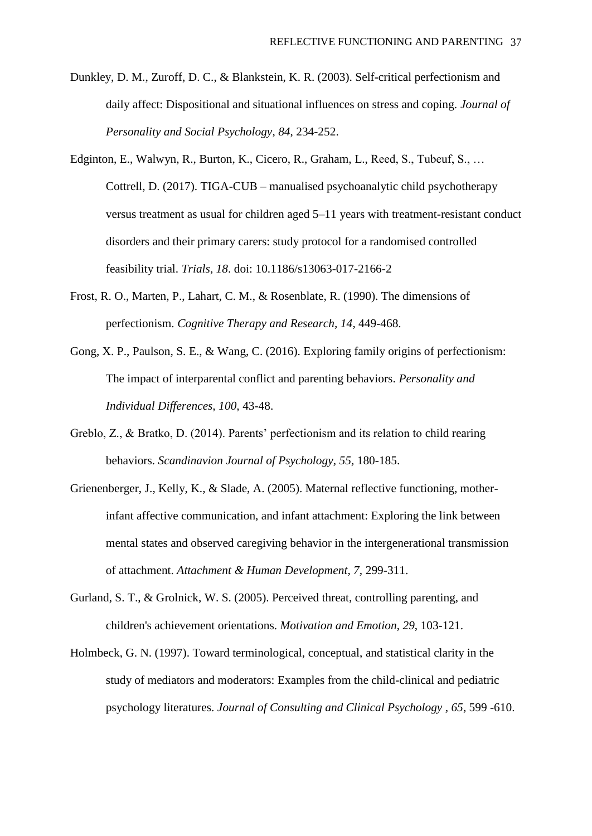- Dunkley, D. M., Zuroff, D. C., & Blankstein, K. R. (2003). Self-critical perfectionism and daily affect: Dispositional and situational influences on stress and coping. *Journal of Personality and Social Psychology*, *84*, 234-252.
- Edginton, E., Walwyn, R., Burton, K., Cicero, R., Graham, L., Reed, S., Tubeuf, S., … Cottrell, D. (2017). TIGA-CUB – manualised psychoanalytic child psychotherapy versus treatment as usual for children aged 5–11 years with treatment-resistant conduct disorders and their primary carers: study protocol for a randomised controlled feasibility trial. *Trials, 18*. doi: 10.1186/s13063-017-2166-2
- Frost, R. O., Marten, P., Lahart, C. M., & Rosenblate, R. (1990). The dimensions of perfectionism. *Cognitive Therapy and Research, 14*, 449-468.
- Gong, X. P., Paulson, S. E., & Wang, C. (2016). Exploring family origins of perfectionism: The impact of interparental conflict and parenting behaviors. *Personality and Individual Differences, 100,* 43-48.
- Greblo, Z., & Bratko, D. (2014). Parents' perfectionism and its relation to child rearing behaviors. *Scandinavion Journal of Psychology, 55,* 180-185.
- Grienenberger, J., Kelly, K., & Slade, A. (2005). Maternal reflective functioning, motherinfant affective communication, and infant attachment: Exploring the link between mental states and observed caregiving behavior in the intergenerational transmission of attachment. *Attachment & Human Development, 7,* 299-311.
- Gurland, S. T., & Grolnick, W. S. (2005). Perceived threat, controlling parenting, and children's achievement orientations. *Motivation and Emotion*, *29*, 103-121.
- Holmbeck, G. N. (1997). Toward terminological, conceptual, and statistical clarity in the study of mediators and moderators: Examples from the child-clinical and pediatric psychology literatures. *Journal of Consulting and Clinical Psychology , 65*, 599 -610.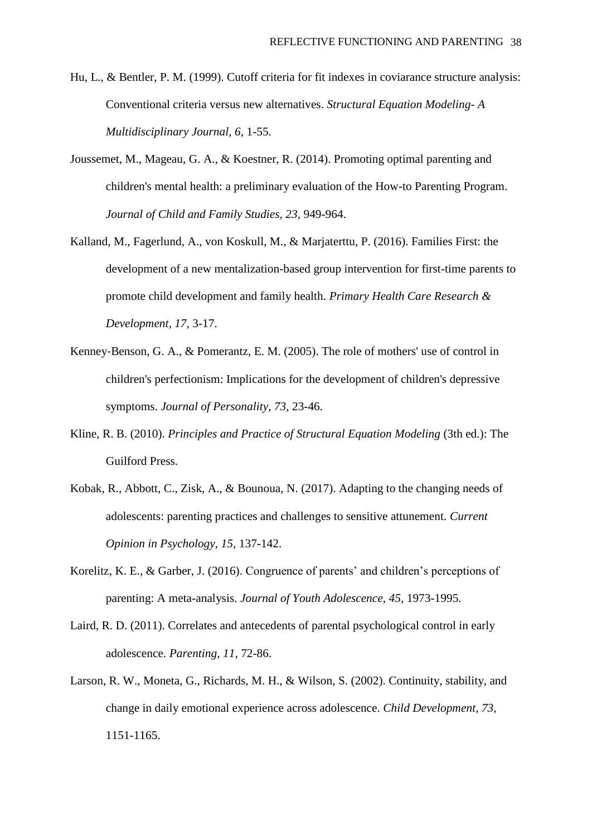- Hu, L., & Bentler, P. M. (1999). Cutoff criteria for fit indexes in coviarance structure analysis: Conventional criteria versus new alternatives. *Structural Equation Modeling- A Multidisciplinary Journal, 6*, 1-55.
- Joussemet, M., Mageau, G. A., & Koestner, R. (2014). Promoting optimal parenting and children's mental health: a preliminary evaluation of the How-to Parenting Program. *Journal of Child and Family Studies, 23,* 949-964.
- Kalland, M., Fagerlund, A., von Koskull, M., & Marjaterttu, P. (2016). Families First: the development of a new mentalization-based group intervention for first-time parents to promote child development and family health. *Primary Health Care Research & Development, 17,* 3-17.
- Kenney‐Benson, G. A., & Pomerantz, E. M. (2005). The role of mothers' use of control in children's perfectionism: Implications for the development of children's depressive symptoms. *Journal of Personality*, *73*, 23-46.
- Kline, R. B. (2010). *Principles and Practice of Structural Equation Modeling* (3th ed.): The Guilford Press.
- Kobak, R., Abbott, C., Zisk, A., & Bounoua, N. (2017). Adapting to the changing needs of adolescents: parenting practices and challenges to sensitive attunement. *Current Opinion in Psychology, 15*, 137-142.
- Korelitz, K. E., & Garber, J. (2016). Congruence of parents' and children's perceptions of parenting: A meta-analysis. *Journal of Youth Adolescence, 45,* 1973-1995.
- Laird, R. D. (2011). Correlates and antecedents of parental psychological control in early adolescence. *Parenting, 11,* 72-86.
- Larson, R. W., Moneta, G., Richards, M. H., & Wilson, S. (2002). Continuity, stability, and change in daily emotional experience across adolescence. *Child Development, 73,*  1151-1165.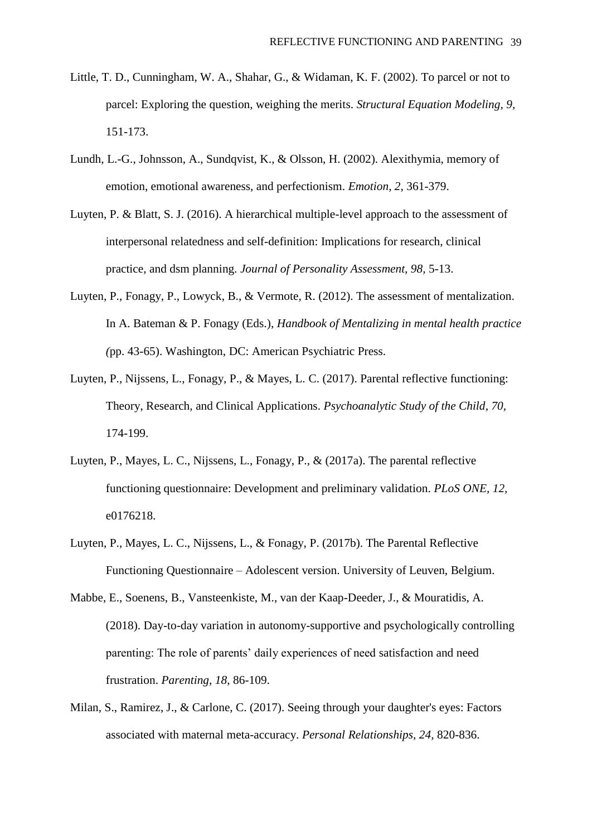- Little, T. D., Cunningham, W. A., Shahar, G., & Widaman, K. F. (2002). To parcel or not to parcel: Exploring the question, weighing the merits. *Structural Equation Modeling, 9,*  151-173.
- Lundh, L.-G., [Johnsson, A.](https://apps.webofknowledge.com/DaisyOneClickSearch.do?product=WOS&search_mode=DaisyOneClickSearch&colName=WOS&SID=C6MF8xbgzE3yLy1PWaZ&author_name=Johnsson,%20A&dais_id=17781431&excludeEventConfig=ExcludeIfFromFullRecPage), [Sundqvist, K.](https://apps.webofknowledge.com/DaisyOneClickSearch.do?product=WOS&search_mode=DaisyOneClickSearch&colName=WOS&SID=C6MF8xbgzE3yLy1PWaZ&author_name=Sundqvist,%20K&dais_id=36715141&excludeEventConfig=ExcludeIfFromFullRecPage), & Olsson, H. (2002). Alexithymia, memory of emotion, emotional awareness, and perfectionism. *Emotion, 2,* 361-379.
- Luyten, P. & Blatt, S. J. (2016). A hierarchical multiple-level approach to the assessment of interpersonal relatedness and self-definition: Implications for research, clinical practice, and dsm planning. *Journal of Personality Assessment, 98,* 5-13.
- Luyten, P., Fonagy, P., Lowyck, B., & Vermote, R. (2012). The assessment of mentalization. In A. Bateman & P. Fonagy (Eds.), *Handbook of Mentalizing in mental health practice (*pp. 43-65). Washington, DC: American Psychiatric Press.
- Luyten, P., Nijssens, L., Fonagy, P., & Mayes, L. C. (2017). Parental reflective functioning: Theory, Research, and Clinical Applications. *Psychoanalytic Study of the Child, 70,*  174-199.
- Luyten, P., Mayes, L. C., Nijssens, L., Fonagy, P., & (2017a). The parental reflective functioning questionnaire: Development and preliminary validation. *PLoS ONE, 12,*  e0176218.
- Luyten, P., Mayes, L. C., Nijssens, L., & Fonagy, P. (2017b). The Parental Reflective Functioning Questionnaire – Adolescent version. University of Leuven, Belgium.
- Mabbe, E., Soenens, B., Vansteenkiste, M., van der Kaap-Deeder, J., & Mouratidis, A. (2018). Day-to-day variation in autonomy-supportive and psychologically controlling parenting: The role of parents' daily experiences of need satisfaction and need frustration. *Parenting*, *18*, 86-109.
- Milan, S., Ramirez, J., & Carlone, C. (2017). Seeing through your daughter's eyes: Factors associated with maternal meta-accuracy. *Personal Relationships, 24,* 820-836.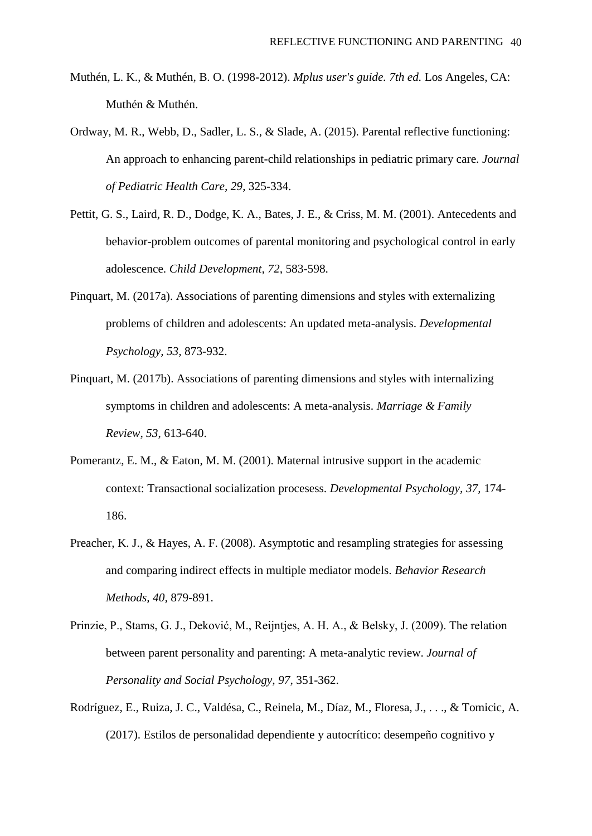- Muthén, L. K., & Muthén, B. O. (1998-2012). *Mplus user's guide. 7th ed.* Los Angeles, CA: Muthén & Muthén.
- Ordway, M. R., Webb, D., Sadler, L. S., & Slade, A. (2015). Parental reflective functioning: An approach to enhancing parent-child relationships in pediatric primary care. *Journal of Pediatric Health Care, 29*, 325-334.
- Pettit, G. S., Laird, R. D., Dodge, K. A., Bates, J. E., & Criss, M. M. (2001). Antecedents and behavior-problem outcomes of parental monitoring and psychological control in early adolescence. *Child Development, 72,* 583-598.
- Pinquart, M. (2017a). Associations of parenting dimensions and styles with externalizing problems of children and adolescents: An updated meta-analysis. *Developmental Psychology, 53,* 873-932.
- Pinquart, M. (2017b). Associations of parenting dimensions and styles with internalizing symptoms in children and adolescents: A meta-analysis. *Marriage & Family Review*, *53*, 613-640.
- Pomerantz, E. M., & Eaton, M. M. (2001). Maternal intrusive support in the academic context: Transactional socialization procesess. *Developmental Psychology, 37,* 174- 186.
- Preacher, K. J., & Hayes, A. F. (2008). Asymptotic and resampling strategies for assessing and comparing indirect effects in multiple mediator models. *Behavior Research Methods, 40,* 879-891.
- Prinzie, P., Stams, G. J., Deković, M., Reijntjes, A. H. A., & Belsky, J. (2009). The relation between parent personality and parenting: A meta-analytic review. *Journal of Personality and Social Psychology, 97,* 351-362.
- Rodríguez, E., Ruiza, J. C., Valdésa, C., Reinela, M., Díaz, M., Floresa, J., . . ., & Tomicic, A. (2017). Estilos de personalidad dependiente y autocrítico: desempeño cognitivo y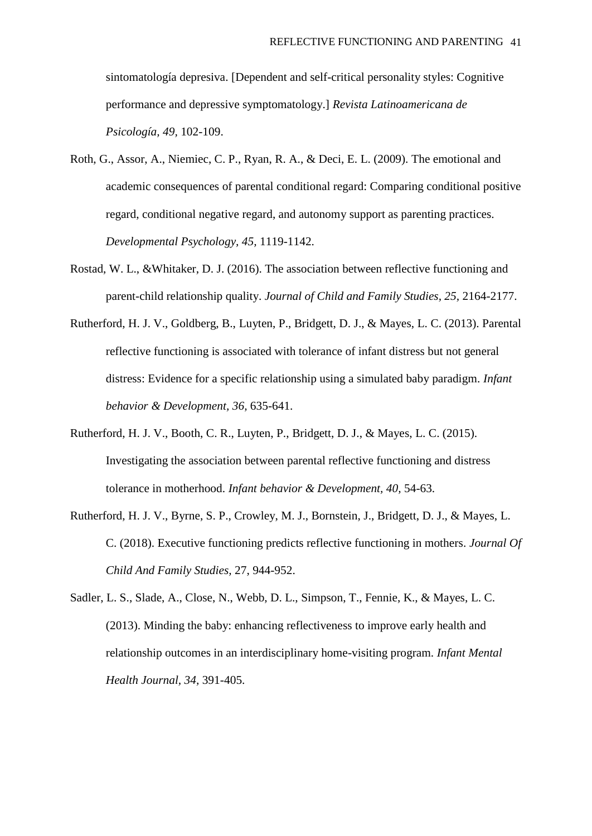sintomatología depresiva. [Dependent and self-critical personality styles: Cognitive performance and depressive symptomatology.] *Revista Latinoamericana de Psicología, 49,* 102-109.

- Roth, G., Assor, A., Niemiec, C. P., Ryan, R. A., & Deci, E. L. (2009). The emotional and academic consequences of parental conditional regard: Comparing conditional positive regard, conditional negative regard, and autonomy support as parenting practices. *Developmental Psychology, 45,* 1119-1142.
- Rostad, W. L., &Whitaker, D. J. (2016). The association between reflective functioning and parent-child relationship quality. *Journal of Child and Family Studies, 25,* 2164-2177.
- Rutherford, H. J. V., Goldberg, B., Luyten, P., Bridgett, D. J., & Mayes, L. C. (2013). Parental reflective functioning is associated with tolerance of infant distress but not general distress: Evidence for a specific relationship using a simulated baby paradigm. *Infant behavior & Development, 36,* 635-641.
- Rutherford, H. J. V., Booth, C. R., Luyten, P., Bridgett, D. J., & Mayes, L. C. (2015). Investigating the association between parental reflective functioning and distress tolerance in motherhood. *Infant behavior & Development, 40,* 54-63.
- Rutherford, H. J. V., Byrne, S. P., Crowley, M. J., Bornstein, J., Bridgett, D. J., & Mayes, L. C. (2018). Executive functioning predicts reflective functioning in mothers. *Journal Of Child And Family Studies,* 27, 944-952.
- Sadler, L. S., Slade, A., Close, N., Webb, D. L., Simpson, T., Fennie, K., & Mayes, L. C. (2013). Minding the baby: enhancing reflectiveness to improve early health and relationship outcomes in an interdisciplinary home-visiting program. *Infant Mental Health Journal, 34,* 391-405.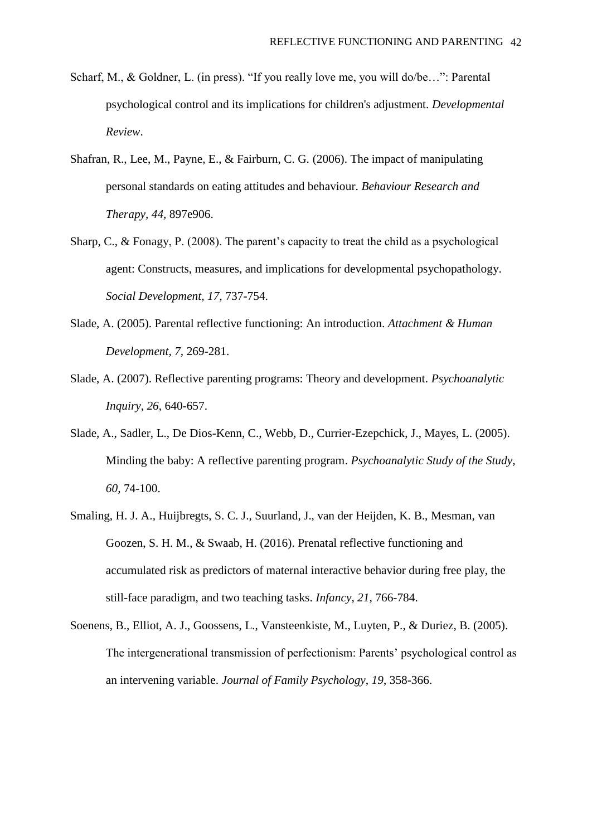- Scharf, M., & Goldner, L. (in press). "If you really love me, you will do/be…": Parental psychological control and its implications for children's adjustment. *Developmental Review*.
- Shafran, R., Lee, M., Payne, E., & Fairburn, C. G. (2006). The impact of manipulating personal standards on eating attitudes and behaviour. *Behaviour Research and Therapy, 44,* 897e906.
- Sharp, C., & Fonagy, P. (2008). The parent's capacity to treat the child as a psychological agent: Constructs, measures, and implications for developmental psychopathology. *Social Development, 17,* 737-754.
- Slade, A. (2005). Parental reflective functioning: An introduction. *Attachment & Human Development, 7,* 269-281.
- Slade, A. (2007). Reflective parenting programs: Theory and development. *Psychoanalytic Inquiry*, *26*, 640-657.
- Slade, A., Sadler, L., De Dios-Kenn, C., Webb, D., Currier-Ezepchick, J., Mayes, L. (2005). Minding the baby: A reflective parenting program. *Psychoanalytic Study of the Study, 60,* 74-100.
- Smaling, H. J. A., Huijbregts, S. C. J., Suurland, J., van der Heijden, K. B., Mesman, van Goozen, S. H. M., & Swaab, H. (2016). Prenatal reflective functioning and accumulated risk as predictors of maternal interactive behavior during free play, the still-face paradigm, and two teaching tasks. *Infancy, 21,* 766-784.
- Soenens, B., Elliot, A. J., Goossens, L., Vansteenkiste, M., Luyten, P., & Duriez, B. (2005). The intergenerational transmission of perfectionism: Parents' psychological control as an intervening variable. *Journal of Family Psychology, 19*, 358-366.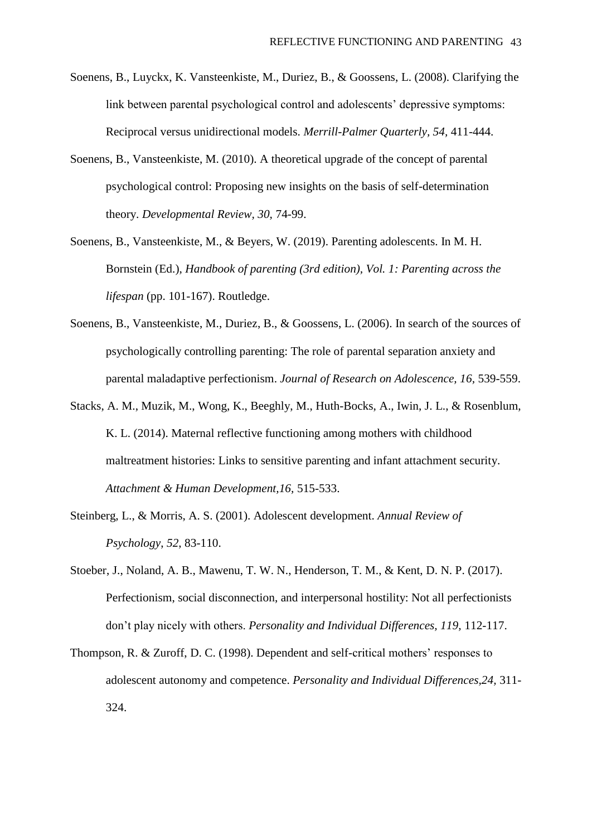- Soenens, B., Luyckx, K. Vansteenkiste, M., Duriez, B., & Goossens, L. (2008). Clarifying the link between parental psychological control and adolescents' depressive symptoms: Reciprocal versus unidirectional models. *Merrill-Palmer Quarterly, 54,* 411-444.
- Soenens, B., Vansteenkiste, M. (2010). A theoretical upgrade of the concept of parental psychological control: Proposing new insights on the basis of self-determination theory. *Developmental Review, 30,* 74-99.
- Soenens, B., Vansteenkiste, M., & Beyers, W. (2019). Parenting adolescents. In M. H. Bornstein (Ed.), *Handbook of parenting (3rd edition), Vol. 1: Parenting across the lifespan* (pp. 101-167). Routledge.
- Soenens, B., Vansteenkiste, M., Duriez, B., & Goossens, L. (2006). In search of the sources of psychologically controlling parenting: The role of parental separation anxiety and parental maladaptive perfectionism. *Journal of Research on Adolescence, 16,* 539-559.
- Stacks, A. M., Muzik, M., Wong, K., Beeghly, M., Huth-Bocks, A., Iwin, J. L., & Rosenblum, K. L. (2014). Maternal reflective functioning among mothers with childhood maltreatment histories: Links to sensitive parenting and infant attachment security. *Attachment & Human Development,16,* 515-533.
- Steinberg, L., & Morris, A. S. (2001). Adolescent development. *Annual Review of Psychology*, *52*, 83-110.
- Stoeber, J., Noland, A. B., Mawenu, T. W. N., Henderson, T. M., & Kent, D. N. P. (2017). Perfectionism, social disconnection, and interpersonal hostility: Not all perfectionists don't play nicely with others. *Personality and Individual Differences, 119,* 112-117.
- Thompson, R. & Zuroff, D. C. (1998). Dependent and self-critical mothers' responses to adolescent autonomy and competence. *Personality and Individual Differences,24,* 311- 324.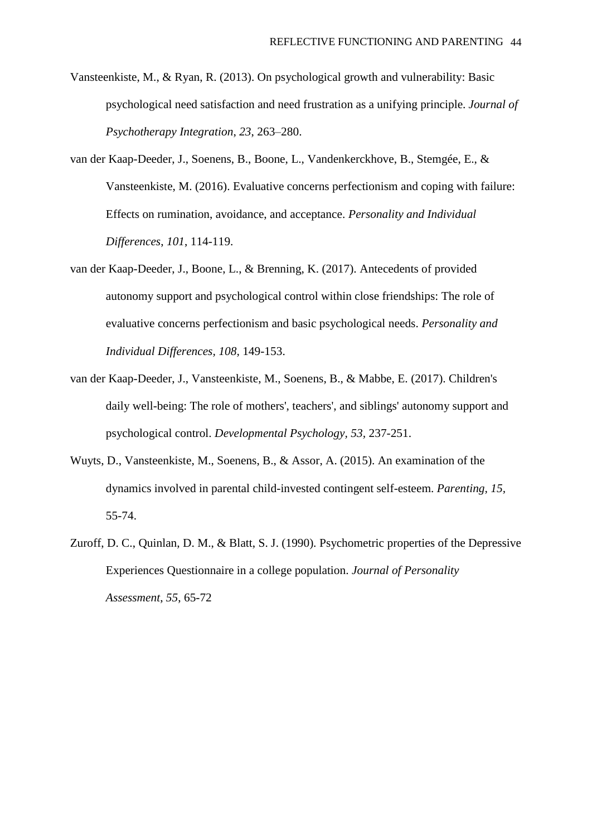- Vansteenkiste, M., & Ryan, R. (2013). On psychological growth and vulnerability: Basic psychological need satisfaction and need frustration as a unifying principle. *Journal of Psychotherapy Integration*, *23*, 263–280.
- van der Kaap-Deeder, J., Soenens, B., Boone, L., Vandenkerckhove, B., Stemgée, E., & Vansteenkiste, M. (2016). Evaluative concerns perfectionism and coping with failure: Effects on rumination, avoidance, and acceptance. *Personality and Individual Differences*, *101*, 114-119.
- van der Kaap-Deeder, J., Boone, L., & Brenning, K. (2017). Antecedents of provided autonomy support and psychological control within close friendships: The role of evaluative concerns perfectionism and basic psychological needs. *Personality and Individual Differences, 108,* 149-153.
- van der Kaap-Deeder, J., Vansteenkiste, M., Soenens, B., & Mabbe, E. (2017). Children's daily well-being: The role of mothers', teachers', and siblings' autonomy support and psychological control. *Developmental Psychology, 53,* 237-251.
- Wuyts, D., Vansteenkiste, M., Soenens, B., & Assor, A. (2015). An examination of the dynamics involved in parental child-invested contingent self-esteem. *Parenting, 15,* 55-74.
- Zuroff, D. C., Quinlan, D. M., & Blatt, S. J. (1990). Psychometric properties of the Depressive Experiences Questionnaire in a college population. *Journal of Personality Assessment*, *55*, 65-72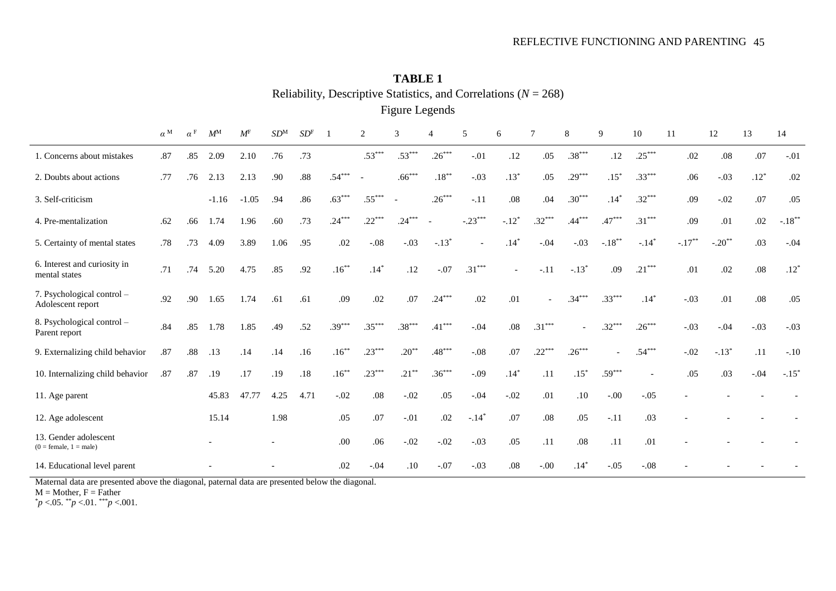| <b>Figure Legends</b>                             |                  |                       |             |             |        |                 |          |          |          |          |                          |                |                |          |           |          |           |          |        |                     |
|---------------------------------------------------|------------------|-----------------------|-------------|-------------|--------|-----------------|----------|----------|----------|----------|--------------------------|----------------|----------------|----------|-----------|----------|-----------|----------|--------|---------------------|
|                                                   | $\alpha^{\rm M}$ | $\alpha$ <sup>F</sup> | $M^{\rm M}$ | $M^{\rm F}$ | $SD^M$ | SD <sup>F</sup> |          | 2        | 3        | 4        | 5                        | 6              | 7              | 8        | 9         | 10       | 11        | 12       | 13     | 14                  |
| 1. Concerns about mistakes                        | .87              | .85                   | 2.09        | 2.10        | .76    | .73             |          | $.53***$ | $.53***$ | $.26***$ | $-.01$                   | .12            | .05            | $.38***$ | .12       | $.25***$ | .02       | $.08\,$  | .07    | $-.01$              |
| 2. Doubts about actions                           | .77              | .76                   | 2.13        | 2.13        | .90    | .88             | $.54***$ |          | $.66***$ | $.18***$ | $-.03$                   | $.13*$         | .05            | $.29***$ | $.15*$    | $.33***$ | .06       | $-.03$   | $.12*$ | .02                 |
| 3. Self-criticism                                 |                  |                       | $-1.16$     | $-1.05$     | .94    | .86             | $.63***$ | $.55***$ |          | $.26***$ | $-.11$                   | .08            | .04            | $.30***$ | $.14*$    | $.32***$ | .09       | $-.02$   | .07    | .05                 |
| 4. Pre-mentalization                              | .62              | .66                   | 1.74        | 1.96        | .60    | .73             | $.24***$ | $.22***$ | $.24***$ |          | $-.23***$                | $-.12*$        | $.32***$       | $.44***$ | $.47***$  | $.31***$ | .09       | .01      | .02    | $-.18***$           |
| 5. Certainty of mental states                     | .78              | .73                   | 4.09        | 3.89        | 1.06   | .95             | .02      | $-.08$   | $-.03$   | $-.13*$  | $\overline{\phantom{a}}$ | $.14*$         | $-.04$         | $-.03$   | $-.18***$ | $-.14*$  | $-.17***$ | $-.20**$ | .03    | $-.04$              |
| 6. Interest and curiosity in<br>mental states     | .71              | .74                   | 5.20        | 4.75        | .85    | .92             | $.16***$ | $.14*$   | .12      | $-.07$   | $.31***$                 | $\overline{a}$ | $-.11$         | $-.13*$  | .09       | $.21***$ | .01       | .02      | .08    | $.12*$              |
| 7. Psychological control -<br>Adolescent report   | .92              | .90                   | 1.65        | 1.74        | .61    | .61             | .09      | .02      | .07      | $.24***$ | .02                      | .01            | $\overline{a}$ | $.34***$ | $.33***$  | $.14*$   | $-.03$    | .01      | .08    | .05                 |
| 8. Psychological control -<br>Parent report       | .84              | .85                   | 1.78        | 1.85        | .49    | .52             | $.39***$ | $.35***$ | $.38***$ | $.41***$ | $-.04$                   | $.08\,$        | $.31***$       |          | $.32***$  | $.26***$ | $-.03$    | $-.04$   | $-.03$ | $-.03$              |
| 9. Externalizing child behavior                   | .87              | .88                   | .13         | .14         | .14    | .16             | $.16***$ | $.23***$ | $.20***$ | $.48***$ | $-.08$                   | .07            | $.22***$       | $.26***$ |           | $.54***$ | $-.02$    | $-.13*$  | .11    | $-.10$              |
| 10. Internalizing child behavior                  | .87              | .87                   | .19         | .17         | .19    | .18             | $.16***$ | $.23***$ | $.21***$ | $.36***$ | $-.09$                   | $.14*$         | .11            | $.15*$   | $.59***$  |          | .05       | .03      | $-.04$ | $-.15$ <sup>*</sup> |
| 11. Age parent                                    |                  |                       | 45.83       | 47.77       | 4.25   | 4.71            | $-.02$   | .08      | $-.02$   | .05      | $-.04$                   | $-.02$         | .01            | .10      | $-.00$    | $-.05$   |           |          |        |                     |
| 12. Age adolescent                                |                  |                       | 15.14       |             | 1.98   |                 | .05      | .07      | $-.01$   | $.02\,$  | $-.14*$                  | .07            | $.08\,$        | .05      | $-.11$    | .03      |           |          |        |                     |
| 13. Gender adolescent<br>$(0 = female, 1 = male)$ |                  |                       |             |             |        |                 | .00      | .06      | $-.02$   | $-.02$   | $-.03$                   | .05            | .11            | .08      | .11       | .01      |           |          |        |                     |
| 14. Educational level parent                      |                  |                       |             |             |        |                 | .02      | $-.04$   | .10      | $-.07$   | $-.03$                   | .08            | $-.00$         | $.14*$   | $-.05$    | $-.08$   |           |          |        |                     |

**TABLE 1** Reliability, Descriptive Statistics, and Correlations (*N* = 268)

Maternal data are presented above the diagonal, paternal data are presented below the diagonal.

 $M = Mother, F = Father$ 

 $*^*p < .05.$   $*^*p < .01.$   $*^*p < .001.$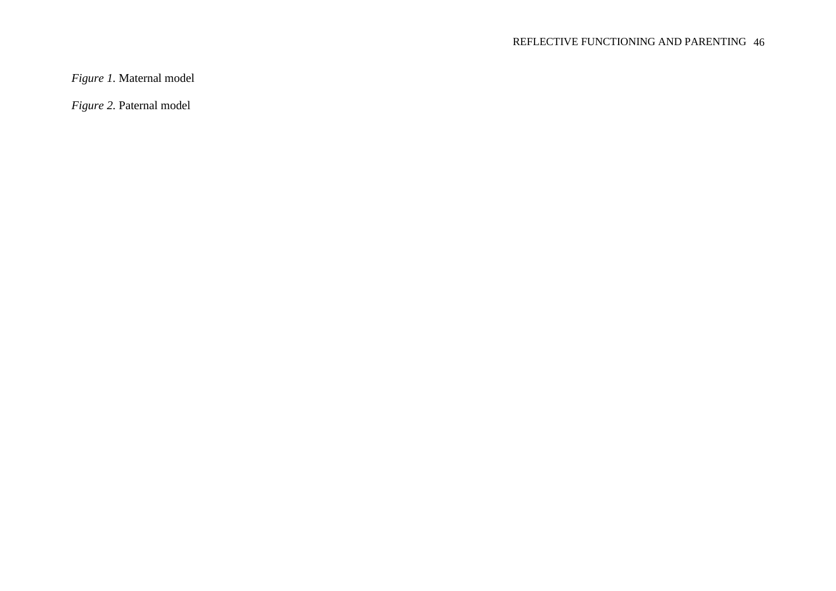# REFLECTIVE FUNCTIONING AND PARENTING 46

*Figure 1.* Maternal model

*Figure 2.* Paternal model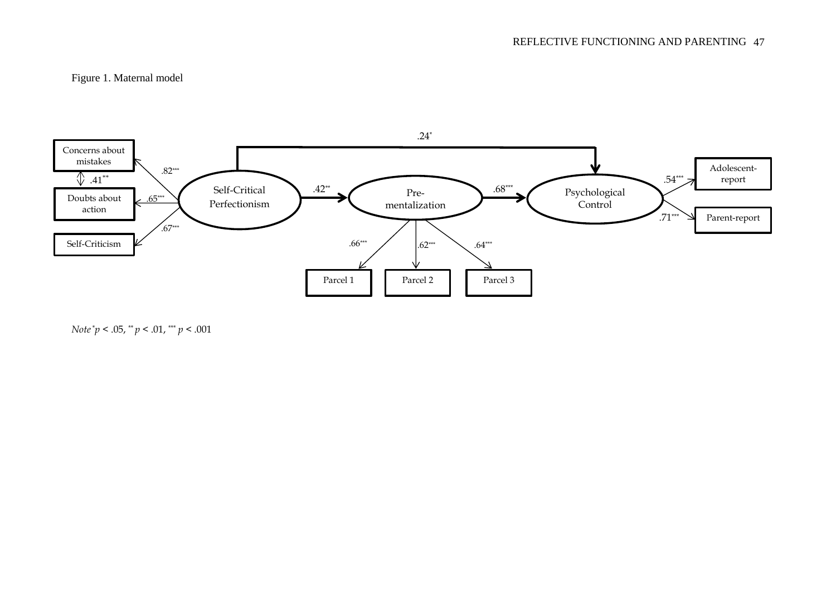# Figure 1. Maternal model



*Note*\**p* < .05, \*\* *p* < .01, \*\*\* *p* < .001